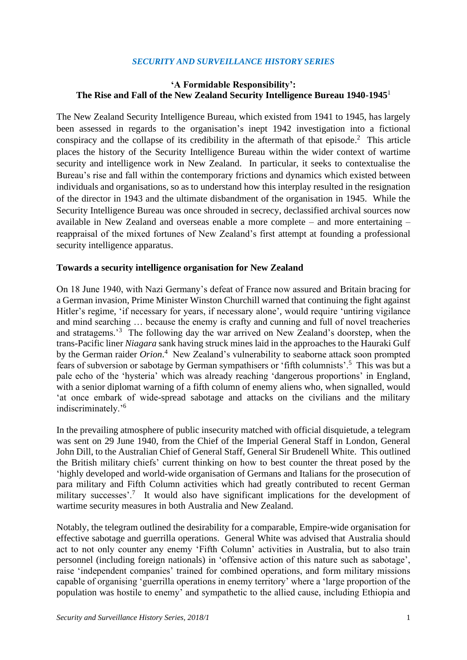### *SECURITY AND SURVEILLANCE HISTORY SERIES*

## **'A Formidable Responsibility': The Rise and Fall of the New Zealand Security Intelligence Bureau 1940-1945**<sup>1</sup>

The New Zealand Security Intelligence Bureau, which existed from 1941 to 1945, has largely been assessed in regards to the organisation's inept 1942 investigation into a fictional conspiracy and the collapse of its credibility in the aftermath of that episode.<sup>2</sup> This article places the history of the Security Intelligence Bureau within the wider context of wartime security and intelligence work in New Zealand. In particular, it seeks to contextualise the Bureau's rise and fall within the contemporary frictions and dynamics which existed between individuals and organisations, so as to understand how this interplay resulted in the resignation of the director in 1943 and the ultimate disbandment of the organisation in 1945. While the Security Intelligence Bureau was once shrouded in secrecy, declassified archival sources now available in New Zealand and overseas enable a more complete – and more entertaining – reappraisal of the mixed fortunes of New Zealand's first attempt at founding a professional security intelligence apparatus.

#### **Towards a security intelligence organisation for New Zealand**

On 18 June 1940, with Nazi Germany's defeat of France now assured and Britain bracing for a German invasion, Prime Minister Winston Churchill warned that continuing the fight against Hitler's regime, 'if necessary for years, if necessary alone', would require 'untiring vigilance and mind searching … because the enemy is crafty and cunning and full of novel treacheries and stratagems.'<sup>3</sup> The following day the war arrived on New Zealand's doorstep, when the trans-Pacific liner *Niagara* sank having struck mines laid in the approaches to the Hauraki Gulf by the German raider *Orion*. 4 New Zealand's vulnerability to seaborne attack soon prompted fears of subversion or sabotage by German sympathisers or 'fifth columnists'.<sup>5</sup> This was but a pale echo of the 'hysteria' which was already reaching 'dangerous proportions' in England, with a senior diplomat warning of a fifth column of enemy aliens who, when signalled, would 'at once embark of wide-spread sabotage and attacks on the civilians and the military indiscriminately.'<sup>6</sup>

In the prevailing atmosphere of public insecurity matched with official disquietude, a telegram was sent on 29 June 1940, from the Chief of the Imperial General Staff in London, General John Dill, to the Australian Chief of General Staff, General Sir Brudenell White. This outlined the British military chiefs' current thinking on how to best counter the threat posed by the 'highly developed and world-wide organisation of Germans and Italians for the prosecution of para military and Fifth Column activities which had greatly contributed to recent German military successes'.<sup>7</sup> It would also have significant implications for the development of wartime security measures in both Australia and New Zealand.

Notably, the telegram outlined the desirability for a comparable, Empire-wide organisation for effective sabotage and guerrilla operations. General White was advised that Australia should act to not only counter any enemy 'Fifth Column' activities in Australia, but to also train personnel (including foreign nationals) in 'offensive action of this nature such as sabotage', raise 'independent companies' trained for combined operations, and form military missions capable of organising 'guerrilla operations in enemy territory' where a 'large proportion of the population was hostile to enemy' and sympathetic to the allied cause, including Ethiopia and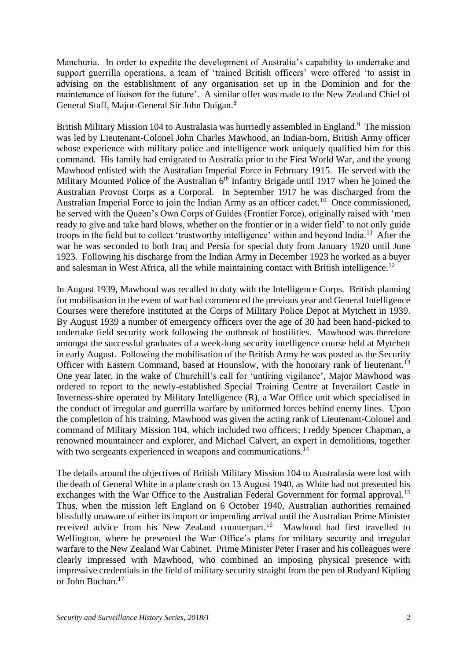Manchuria. In order to expedite the development of Australia's capability to undertake and support guerrilla operations, a team of 'trained British officers' were offered 'to assist in advising on the establishment of any organisation set up in the Dominion and for the maintenance of liaison for the future'. A similar offer was made to the New Zealand Chief of General Staff, Major-General Sir John Duigan.<sup>8</sup>

British Military Mission 104 to Australasia was hurriedly assembled in England.<sup>9</sup> The mission was led by Lieutenant-Colonel John Charles Mawhood, an Indian-born, British Army officer whose experience with military police and intelligence work uniquely qualified him for this command. His family had emigrated to Australia prior to the First World War, and the young Mawhood enlisted with the Australian Imperial Force in February 1915. He served with the Military Mounted Police of the Australian 6<sup>th</sup> Infantry Brigade until 1917 when he joined the Australian Provost Corps as a Corporal. In September 1917 he was discharged from the Australian Imperial Force to join the Indian Army as an officer cadet.<sup>10</sup> Once commissioned, he served with the Queen's Own Corps of Guides (Frontier Force), originally raised with 'men ready to give and take hard blows, whether on the frontier or in a wider field' to not only guide troops in the field but to collect 'trustworthy intelligence' within and beyond India.<sup>11</sup> After the war he was seconded to both Iraq and Persia for special duty from January 1920 until June 1923. Following his discharge from the Indian Army in December 1923 he worked as a buyer and salesman in West Africa, all the while maintaining contact with British intelligence.<sup>12</sup>

In August 1939, Mawhood was recalled to duty with the Intelligence Corps. British planning for mobilisation in the event of war had commenced the previous year and General Intelligence Courses were therefore instituted at the Corps of Military Police Depot at Mytchett in 1939. By August 1939 a number of emergency officers over the age of 30 had been hand-picked to undertake field security work following the outbreak of hostilities. Mawhood was therefore amongst the successful graduates of a week-long security intelligence course held at Mytchett in early August. Following the mobilisation of the British Army he was posted as the Security Officer with Eastern Command, based at Hounslow, with the honorary rank of lieutenant.<sup>13</sup> One year later, in the wake of Churchill's call for 'untiring vigilance', Major Mawhood was ordered to report to the newly-established Special Training Centre at Inverailort Castle in Inverness-shire operated by Military Intelligence (R), a War Office unit which specialised in the conduct of irregular and guerrilla warfare by uniformed forces behind enemy lines. Upon the completion of his training, Mawhood was given the acting rank of Lieutenant-Colonel and command of Military Mission 104, which included two officers; Freddy Spencer Chapman, a renowned mountaineer and explorer, and Michael Calvert, an expert in demolitions, together with two sergeants experienced in weapons and communications.<sup>14</sup>

The details around the objectives of British Military Mission 104 to Australasia were lost with the death of General White in a plane crash on 13 August 1940, as White had not presented his exchanges with the War Office to the Australian Federal Government for formal approval.<sup>15</sup> Thus, when the mission left England on 6 October 1940, Australian authorities remained blissfully unaware of either its import or impending arrival until the Australian Prime Minister received advice from his New Zealand counterpart.<sup>16</sup> Mawhood had first travelled to Wellington, where he presented the War Office's plans for military security and irregular warfare to the New Zealand War Cabinet. Prime Minister Peter Fraser and his colleagues were clearly impressed with Mawhood, who combined an imposing physical presence with impressive credentials in the field of military security straight from the pen of Rudyard Kipling or John Buchan.<sup>17</sup>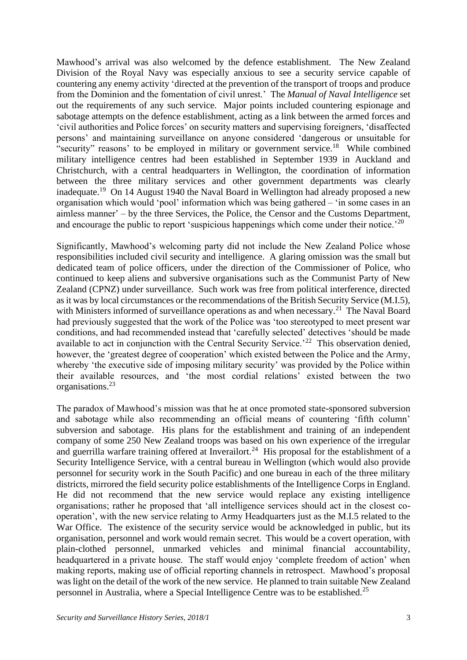Mawhood's arrival was also welcomed by the defence establishment. The New Zealand Division of the Royal Navy was especially anxious to see a security service capable of countering any enemy activity 'directed at the prevention of the transport of troops and produce from the Dominion and the fomentation of civil unrest.' The *Manual of Naval Intelligence* set out the requirements of any such service. Major points included countering espionage and sabotage attempts on the defence establishment, acting as a link between the armed forces and 'civil authorities and Police forces' on security matters and supervising foreigners, 'disaffected persons' and maintaining surveillance on anyone considered 'dangerous or unsuitable for "security" reasons' to be employed in military or government service.<sup>18</sup> While combined military intelligence centres had been established in September 1939 in Auckland and Christchurch, with a central headquarters in Wellington, the coordination of information between the three military services and other government departments was clearly inadequate.<sup>19</sup> On 14 August 1940 the Naval Board in Wellington had already proposed a new organisation which would 'pool' information which was being gathered – 'in some cases in an aimless manner' – by the three Services, the Police, the Censor and the Customs Department, and encourage the public to report 'suspicious happenings which come under their notice.<sup>20</sup>

Significantly, Mawhood's welcoming party did not include the New Zealand Police whose responsibilities included civil security and intelligence. A glaring omission was the small but dedicated team of police officers, under the direction of the Commissioner of Police, who continued to keep aliens and subversive organisations such as the Communist Party of New Zealand (CPNZ) under surveillance. Such work was free from political interference, directed as it was by local circumstances or the recommendations of the British Security Service (M.I.5), with Ministers informed of surveillance operations as and when necessary.<sup>21</sup> The Naval Board had previously suggested that the work of the Police was 'too stereotyped to meet present war conditions, and had recommended instead that 'carefully selected' detectives 'should be made available to act in conjunction with the Central Security Service.<sup>22</sup> This observation denied, however, the 'greatest degree of cooperation' which existed between the Police and the Army, whereby 'the executive side of imposing military security' was provided by the Police within their available resources, and 'the most cordial relations' existed between the two organisations.<sup>23</sup>

The paradox of Mawhood's mission was that he at once promoted state-sponsored subversion and sabotage while also recommending an official means of countering 'fifth column' subversion and sabotage. His plans for the establishment and training of an independent company of some 250 New Zealand troops was based on his own experience of the irregular and guerrilla warfare training offered at Inverailort.<sup>24</sup> His proposal for the establishment of a Security Intelligence Service, with a central bureau in Wellington (which would also provide personnel for security work in the South Pacific) and one bureau in each of the three military districts, mirrored the field security police establishments of the Intelligence Corps in England. He did not recommend that the new service would replace any existing intelligence organisations; rather he proposed that 'all intelligence services should act in the closest cooperation', with the new service relating to Army Headquarters just as the M.I.5 related to the War Office. The existence of the security service would be acknowledged in public, but its organisation, personnel and work would remain secret. This would be a covert operation, with plain-clothed personnel, unmarked vehicles and minimal financial accountability, headquartered in a private house. The staff would enjoy 'complete freedom of action' when making reports, making use of official reporting channels in retrospect. Mawhood's proposal was light on the detail of the work of the new service. He planned to train suitable New Zealand personnel in Australia, where a Special Intelligence Centre was to be established.<sup>25</sup>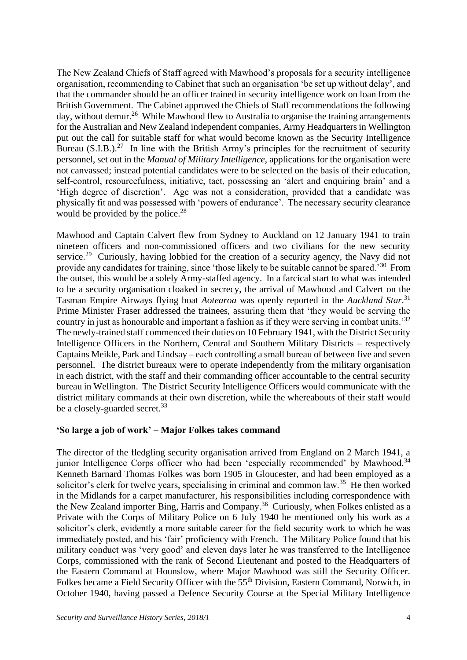The New Zealand Chiefs of Staff agreed with Mawhood's proposals for a security intelligence organisation, recommending to Cabinet that such an organisation 'be set up without delay', and that the commander should be an officer trained in security intelligence work on loan from the British Government. The Cabinet approved the Chiefs of Staff recommendations the following day, without demur.<sup>26</sup> While Mawhood flew to Australia to organise the training arrangements for the Australian and New Zealand independent companies, Army Headquarters in Wellington put out the call for suitable staff for what would become known as the Security Intelligence Bureau  $(S.I.B.)<sup>27</sup>$  In line with the British Army's principles for the recruitment of security personnel, set out in the *Manual of Military Intelligence*, applications for the organisation were not canvassed; instead potential candidates were to be selected on the basis of their education, self-control, resourcefulness, initiative, tact, possessing an 'alert and enquiring brain' and a 'High degree of discretion'. Age was not a consideration, provided that a candidate was physically fit and was possessed with 'powers of endurance'. The necessary security clearance would be provided by the police. $^{28}$ 

Mawhood and Captain Calvert flew from Sydney to Auckland on 12 January 1941 to train nineteen officers and non-commissioned officers and two civilians for the new security service.<sup>29</sup> Curiously, having lobbied for the creation of a security agency, the Navy did not provide any candidates for training, since 'those likely to be suitable cannot be spared.'<sup>30</sup> From the outset, this would be a solely Army-staffed agency. In a farcical start to what was intended to be a security organisation cloaked in secrecy, the arrival of Mawhood and Calvert on the Tasman Empire Airways flying boat *Aotearoa* was openly reported in the *Auckland Star*. 31 Prime Minister Fraser addressed the trainees, assuring them that 'they would be serving the country in just as honourable and important a fashion as if they were serving in combat units.<sup>32</sup> The newly-trained staff commenced their duties on 10 February 1941, with the District Security Intelligence Officers in the Northern, Central and Southern Military Districts – respectively Captains Meikle, Park and Lindsay – each controlling a small bureau of between five and seven personnel. The district bureaux were to operate independently from the military organisation in each district, with the staff and their commanding officer accountable to the central security bureau in Wellington. The District Security Intelligence Officers would communicate with the district military commands at their own discretion, while the whereabouts of their staff would be a closely-guarded secret.<sup>33</sup>

### **'So large a job of work' – Major Folkes takes command**

The director of the fledgling security organisation arrived from England on 2 March 1941, a junior Intelligence Corps officer who had been 'especially recommended' by Mawhood.<sup>34</sup> Kenneth Barnard Thomas Folkes was born 1905 in Gloucester, and had been employed as a solicitor's clerk for twelve years, specialising in criminal and common law.<sup>35</sup> He then worked in the Midlands for a carpet manufacturer, his responsibilities including correspondence with the New Zealand importer Bing, Harris and Company.<sup>36</sup> Curiously, when Folkes enlisted as a Private with the Corps of Military Police on 6 July 1940 he mentioned only his work as a solicitor's clerk, evidently a more suitable career for the field security work to which he was immediately posted, and his 'fair' proficiency with French. The Military Police found that his military conduct was 'very good' and eleven days later he was transferred to the Intelligence Corps, commissioned with the rank of Second Lieutenant and posted to the Headquarters of the Eastern Command at Hounslow, where Major Mawhood was still the Security Officer. Folkes became a Field Security Officer with the 55<sup>th</sup> Division, Eastern Command, Norwich, in October 1940, having passed a Defence Security Course at the Special Military Intelligence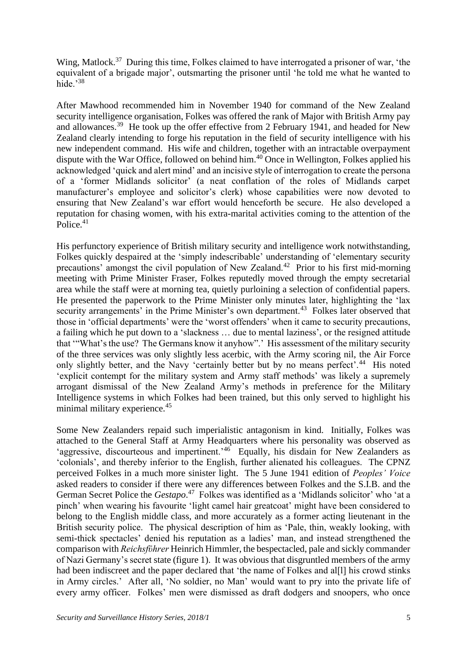Wing, Matlock.<sup>37</sup> During this time, Folkes claimed to have interrogated a prisoner of war, 'the equivalent of a brigade major', outsmarting the prisoner until 'he told me what he wanted to hide.'<sup>38</sup>

After Mawhood recommended him in November 1940 for command of the New Zealand security intelligence organisation, Folkes was offered the rank of Major with British Army pay and allowances.<sup>39</sup> He took up the offer effective from 2 February 1941, and headed for New Zealand clearly intending to forge his reputation in the field of security intelligence with his new independent command. His wife and children, together with an intractable overpayment dispute with the War Office, followed on behind him.<sup>40</sup> Once in Wellington, Folkes applied his acknowledged 'quick and alert mind' and an incisive style of interrogation to create the persona of a 'former Midlands solicitor' (a neat conflation of the roles of Midlands carpet manufacturer's employee and solicitor's clerk) whose capabilities were now devoted to ensuring that New Zealand's war effort would henceforth be secure. He also developed a reputation for chasing women, with his extra-marital activities coming to the attention of the Police.<sup>41</sup>

His perfunctory experience of British military security and intelligence work notwithstanding, Folkes quickly despaired at the 'simply indescribable' understanding of 'elementary security precautions' amongst the civil population of New Zealand.<sup>42</sup> Prior to his first mid-morning meeting with Prime Minister Fraser, Folkes reputedly moved through the empty secretarial area while the staff were at morning tea, quietly purloining a selection of confidential papers. He presented the paperwork to the Prime Minister only minutes later, highlighting the 'lax security arrangements' in the Prime Minister's own department.<sup>43</sup> Folkes later observed that those in 'official departments' were the 'worst offenders' when it came to security precautions, a failing which he put down to a 'slackness … due to mental laziness', or the resigned attitude that '"What's the use? The Germans know it anyhow".' His assessment of the military security of the three services was only slightly less acerbic, with the Army scoring nil, the Air Force only slightly better, and the Navy 'certainly better but by no means perfect'.<sup>44</sup> His noted 'explicit contempt for the military system and Army staff methods' was likely a supremely arrogant dismissal of the New Zealand Army's methods in preference for the Military Intelligence systems in which Folkes had been trained, but this only served to highlight his minimal military experience.<sup>45</sup>

Some New Zealanders repaid such imperialistic antagonism in kind. Initially, Folkes was attached to the General Staff at Army Headquarters where his personality was observed as 'aggressive, discourteous and impertinent.<sup>246</sup> Equally, his disdain for New Zealanders as 'colonials', and thereby inferior to the English, further alienated his colleagues. The CPNZ perceived Folkes in a much more sinister light. The 5 June 1941 edition of *Peoples' Voice* asked readers to consider if there were any differences between Folkes and the S.I.B. and the German Secret Police the *Gestapo*. 47 Folkes was identified as a 'Midlands solicitor' who 'at a pinch' when wearing his favourite 'light camel hair greatcoat' might have been considered to belong to the English middle class, and more accurately as a former acting lieutenant in the British security police. The physical description of him as 'Pale, thin, weakly looking, with semi-thick spectacles' denied his reputation as a ladies' man, and instead strengthened the comparison with *Reichsfϋhrer* Heinrich Himmler, the bespectacled, pale and sickly commander of Nazi Germany's secret state (figure 1). It was obvious that disgruntled members of the army had been indiscreet and the paper declared that 'the name of Folkes and all all his crowd stinks in Army circles.' After all, 'No soldier, no Man' would want to pry into the private life of every army officer. Folkes' men were dismissed as draft dodgers and snoopers, who once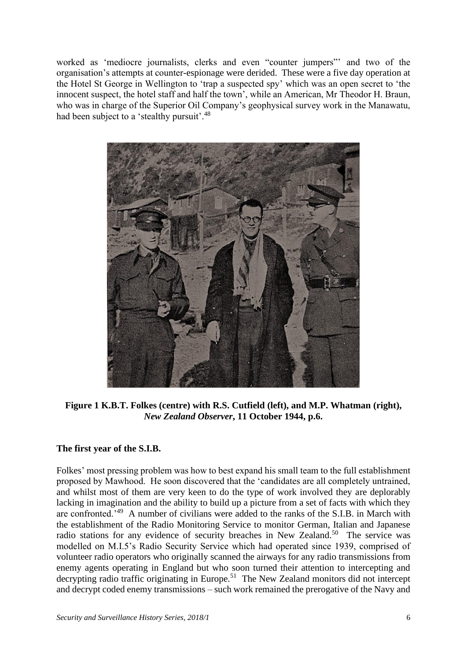worked as 'mediocre journalists, clerks and even "counter jumpers"' and two of the organisation's attempts at counter-espionage were derided. These were a five day operation at the Hotel St George in Wellington to 'trap a suspected spy' which was an open secret to 'the innocent suspect, the hotel staff and half the town', while an American, Mr Theodor H. Braun, who was in charge of the Superior Oil Company's geophysical survey work in the Manawatu, had been subject to a 'stealthy pursuit'.<sup>48</sup>



**Figure 1 K.B.T. Folkes (centre) with R.S. Cutfield (left), and M.P. Whatman (right),**  *New Zealand Observer***, 11 October 1944, p.6.**

# **The first year of the S.I.B.**

Folkes' most pressing problem was how to best expand his small team to the full establishment proposed by Mawhood. He soon discovered that the 'candidates are all completely untrained, and whilst most of them are very keen to do the type of work involved they are deplorably lacking in imagination and the ability to build up a picture from a set of facts with which they are confronted.<sup>49</sup> A number of civilians were added to the ranks of the S.I.B. in March with the establishment of the Radio Monitoring Service to monitor German, Italian and Japanese radio stations for any evidence of security breaches in New Zealand.<sup>50</sup> The service was modelled on M.I.5's Radio Security Service which had operated since 1939, comprised of volunteer radio operators who originally scanned the airways for any radio transmissions from enemy agents operating in England but who soon turned their attention to intercepting and decrypting radio traffic originating in Europe.<sup>51</sup> The New Zealand monitors did not intercept and decrypt coded enemy transmissions – such work remained the prerogative of the Navy and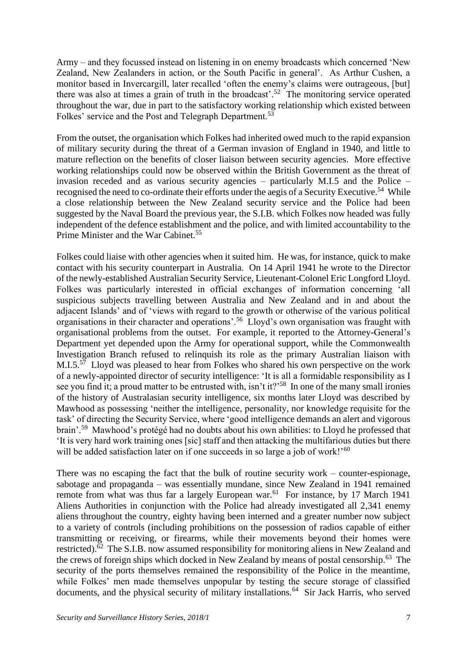Army – and they focussed instead on listening in on enemy broadcasts which concerned 'New Zealand, New Zealanders in action, or the South Pacific in general'. As Arthur Cushen, a monitor based in Invercargill, later recalled 'often the enemy's claims were outrageous, [but] there was also at times a grain of truth in the broadcast'.<sup>52</sup> The monitoring service operated throughout the war, due in part to the satisfactory working relationship which existed between Folkes' service and the Post and Telegraph Department.<sup>53</sup>

From the outset, the organisation which Folkes had inherited owed much to the rapid expansion of military security during the threat of a German invasion of England in 1940, and little to mature reflection on the benefits of closer liaison between security agencies. More effective working relationships could now be observed within the British Government as the threat of invasion receded and as various security agencies – particularly M.I.5 and the Police – recognised the need to co-ordinate their efforts under the aegis of a Security Executive.<sup>54</sup> While a close relationship between the New Zealand security service and the Police had been suggested by the Naval Board the previous year, the S.I.B. which Folkes now headed was fully independent of the defence establishment and the police, and with limited accountability to the Prime Minister and the War Cabinet.<sup>55</sup>

Folkes could liaise with other agencies when it suited him. He was, for instance, quick to make contact with his security counterpart in Australia. On 14 April 1941 he wrote to the Director of the newly-established Australian Security Service, Lieutenant-Colonel Eric Longford Lloyd. Folkes was particularly interested in official exchanges of information concerning 'all suspicious subjects travelling between Australia and New Zealand and in and about the adjacent Islands' and of 'views with regard to the growth or otherwise of the various political organisations in their character and operations'.<sup>56</sup> Lloyd's own organisation was fraught with organisational problems from the outset. For example, it reported to the Attorney-General's Department yet depended upon the Army for operational support, while the Commonwealth Investigation Branch refused to relinquish its role as the primary Australian liaison with M.I.5.<sup>57</sup> Lloyd was pleased to hear from Folkes who shared his own perspective on the work of a newly-appointed director of security intelligence: 'It is all a formidable responsibility as I see you find it; a proud matter to be entrusted with, isn't it?<sup>58</sup> In one of the many small ironies of the history of Australasian security intelligence, six months later Lloyd was described by Mawhood as possessing 'neither the intelligence, personality, nor knowledge requisite for the task' of directing the Security Service, where 'good intelligence demands an alert and vigorous brain'.<sup>59</sup> Mawhood's protégé had no doubts about his own abilities: to Lloyd he professed that 'It is very hard work training ones [sic] staff and then attacking the multifarious duties but there will be added satisfaction later on if one succeeds in so large a job of work!'<sup>60</sup>

There was no escaping the fact that the bulk of routine security work – counter-espionage, sabotage and propaganda – was essentially mundane, since New Zealand in 1941 remained remote from what was thus far a largely European war.<sup>61</sup> For instance, by 17 March 1941 Aliens Authorities in conjunction with the Police had already investigated all 2,341 enemy aliens throughout the country, eighty having been interned and a greater number now subject to a variety of controls (including prohibitions on the possession of radios capable of either transmitting or receiving, or firearms, while their movements beyond their homes were restricted).<sup>62</sup> The S.I.B. now assumed responsibility for monitoring aliens in New Zealand and the crews of foreign ships which docked in New Zealand by means of postal censorship.<sup>63</sup> The security of the ports themselves remained the responsibility of the Police in the meantime, while Folkes' men made themselves unpopular by testing the secure storage of classified documents, and the physical security of military installations.<sup>64</sup> Sir Jack Harris, who served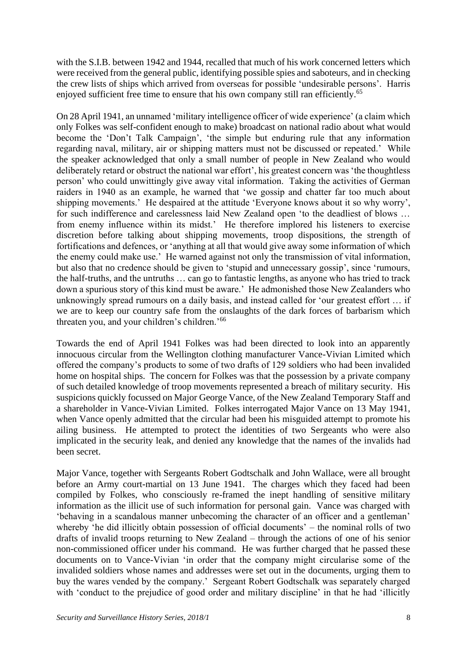with the S.I.B. between 1942 and 1944, recalled that much of his work concerned letters which were received from the general public, identifying possible spies and saboteurs, and in checking the crew lists of ships which arrived from overseas for possible 'undesirable persons'. Harris enjoyed sufficient free time to ensure that his own company still ran efficiently.<sup>65</sup>

On 28 April 1941, an unnamed 'military intelligence officer of wide experience' (a claim which only Folkes was self-confident enough to make) broadcast on national radio about what would become the 'Don't Talk Campaign', 'the simple but enduring rule that any information regarding naval, military, air or shipping matters must not be discussed or repeated.' While the speaker acknowledged that only a small number of people in New Zealand who would deliberately retard or obstruct the national war effort', his greatest concern was 'the thoughtless person' who could unwittingly give away vital information. Taking the activities of German raiders in 1940 as an example, he warned that 'we gossip and chatter far too much about shipping movements.' He despaired at the attitude 'Everyone knows about it so why worry', for such indifference and carelessness laid New Zealand open 'to the deadliest of blows … from enemy influence within its midst.' He therefore implored his listeners to exercise discretion before talking about shipping movements, troop dispositions, the strength of fortifications and defences, or 'anything at all that would give away some information of which the enemy could make use.' He warned against not only the transmission of vital information, but also that no credence should be given to 'stupid and unnecessary gossip', since 'rumours, the half-truths, and the untruths … can go to fantastic lengths, as anyone who has tried to track down a spurious story of this kind must be aware.' He admonished those New Zealanders who unknowingly spread rumours on a daily basis, and instead called for 'our greatest effort … if we are to keep our country safe from the onslaughts of the dark forces of barbarism which threaten you, and your children's children.'<sup>66</sup>

Towards the end of April 1941 Folkes was had been directed to look into an apparently innocuous circular from the Wellington clothing manufacturer Vance-Vivian Limited which offered the company's products to some of two drafts of 129 soldiers who had been invalided home on hospital ships. The concern for Folkes was that the possession by a private company of such detailed knowledge of troop movements represented a breach of military security. His suspicions quickly focussed on Major George Vance, of the New Zealand Temporary Staff and a shareholder in Vance-Vivian Limited. Folkes interrogated Major Vance on 13 May 1941, when Vance openly admitted that the circular had been his misguided attempt to promote his ailing business. He attempted to protect the identities of two Sergeants who were also implicated in the security leak, and denied any knowledge that the names of the invalids had been secret.

Major Vance, together with Sergeants Robert Godtschalk and John Wallace, were all brought before an Army court-martial on 13 June 1941. The charges which they faced had been compiled by Folkes, who consciously re-framed the inept handling of sensitive military information as the illicit use of such information for personal gain. Vance was charged with 'behaving in a scandalous manner unbecoming the character of an officer and a gentleman' whereby 'he did illicitly obtain possession of official documents' – the nominal rolls of two drafts of invalid troops returning to New Zealand – through the actions of one of his senior non-commissioned officer under his command. He was further charged that he passed these documents on to Vance-Vivian 'in order that the company might circularise some of the invalided soldiers whose names and addresses were set out in the documents, urging them to buy the wares vended by the company.' Sergeant Robert Godtschalk was separately charged with 'conduct to the prejudice of good order and military discipline' in that he had 'illicitly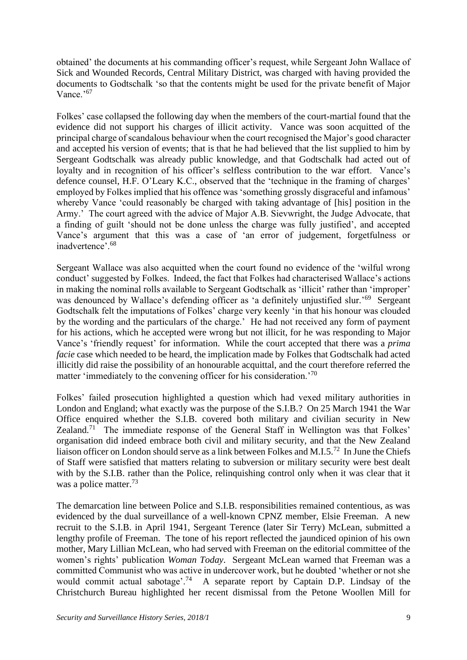obtained' the documents at his commanding officer's request, while Sergeant John Wallace of Sick and Wounded Records, Central Military District, was charged with having provided the documents to Godtschalk 'so that the contents might be used for the private benefit of Major Vance.'<sup>67</sup>

Folkes' case collapsed the following day when the members of the court-martial found that the evidence did not support his charges of illicit activity. Vance was soon acquitted of the principal charge of scandalous behaviour when the court recognised the Major's good character and accepted his version of events; that is that he had believed that the list supplied to him by Sergeant Godtschalk was already public knowledge, and that Godtschalk had acted out of loyalty and in recognition of his officer's selfless contribution to the war effort. Vance's defence counsel, H.F. O'Leary K.C., observed that the 'technique in the framing of charges' employed by Folkes implied that his offence was 'something grossly disgraceful and infamous' whereby Vance 'could reasonably be charged with taking advantage of [his] position in the Army.' The court agreed with the advice of Major A.B. Sievwright, the Judge Advocate, that a finding of guilt 'should not be done unless the charge was fully justified', and accepted Vance's argument that this was a case of 'an error of judgement, forgetfulness or inadvertence'.<sup>68</sup>

Sergeant Wallace was also acquitted when the court found no evidence of the 'wilful wrong conduct' suggested by Folkes. Indeed, the fact that Folkes had characterised Wallace's actions in making the nominal rolls available to Sergeant Godtschalk as 'illicit' rather than 'improper' was denounced by Wallace's defending officer as 'a definitely unjustified slur.'<sup>69</sup> Sergeant Godtschalk felt the imputations of Folkes' charge very keenly 'in that his honour was clouded by the wording and the particulars of the charge.' He had not received any form of payment for his actions, which he accepted were wrong but not illicit, for he was responding to Major Vance's 'friendly request' for information. While the court accepted that there was a *prima facie* case which needed to be heard, the implication made by Folkes that Godtschalk had acted illicitly did raise the possibility of an honourable acquittal, and the court therefore referred the matter 'immediately to the convening officer for his consideration.'<sup>70</sup>

Folkes' failed prosecution highlighted a question which had vexed military authorities in London and England; what exactly was the purpose of the S.I.B.? On 25 March 1941 the War Office enquired whether the S.I.B. covered both military and civilian security in New Zealand.<sup>71</sup> The immediate response of the General Staff in Wellington was that Folkes' organisation did indeed embrace both civil and military security, and that the New Zealand liaison officer on London should serve as a link between Folkes and M.I.5.<sup>72</sup> In June the Chiefs of Staff were satisfied that matters relating to subversion or military security were best dealt with by the S.I.B. rather than the Police, relinquishing control only when it was clear that it was a police matter.<sup>73</sup>

The demarcation line between Police and S.I.B. responsibilities remained contentious, as was evidenced by the dual surveillance of a well-known CPNZ member, Elsie Freeman. A new recruit to the S.I.B. in April 1941, Sergeant Terence (later Sir Terry) McLean, submitted a lengthy profile of Freeman. The tone of his report reflected the jaundiced opinion of his own mother, Mary Lillian McLean, who had served with Freeman on the editorial committee of the women's rights' publication *Woman Today*. Sergeant McLean warned that Freeman was a committed Communist who was active in undercover work, but he doubted 'whether or not she would commit actual sabotage'.<sup>74</sup> A separate report by Captain D.P. Lindsay of the Christchurch Bureau highlighted her recent dismissal from the Petone Woollen Mill for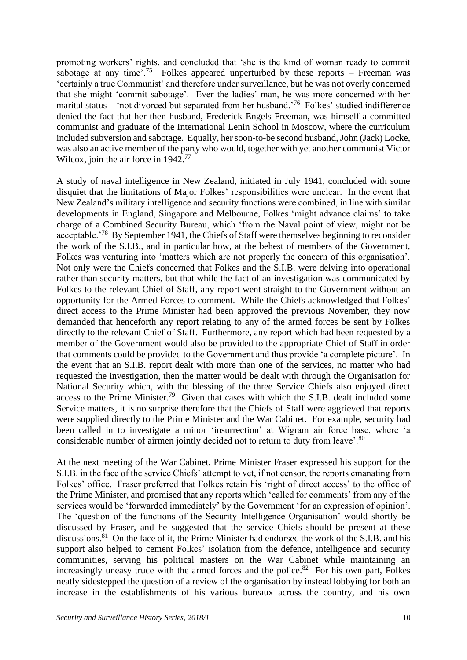promoting workers' rights, and concluded that 'she is the kind of woman ready to commit sabotage at any time'.<sup>75</sup> Folkes appeared unperturbed by these reports – Freeman was 'certainly a true Communist' and therefore under surveillance, but he was not overly concerned that she might 'commit sabotage'. Ever the ladies' man, he was more concerned with her marital status – 'not divorced but separated from her husband.<sup>'76</sup> Folkes' studied indifference denied the fact that her then husband, Frederick Engels Freeman, was himself a committed communist and graduate of the International Lenin School in Moscow, where the curriculum included subversion and sabotage. Equally, her soon-to-be second husband, John (Jack) Locke, was also an active member of the party who would, together with yet another communist Victor Wilcox, join the air force in 1942.<sup>77</sup>

A study of naval intelligence in New Zealand, initiated in July 1941, concluded with some disquiet that the limitations of Major Folkes' responsibilities were unclear. In the event that New Zealand's military intelligence and security functions were combined, in line with similar developments in England, Singapore and Melbourne, Folkes 'might advance claims' to take charge of a Combined Security Bureau, which 'from the Naval point of view, might not be acceptable.'<sup>78</sup> By September 1941, the Chiefs of Staff were themselves beginning to reconsider the work of the S.I.B., and in particular how, at the behest of members of the Government, Folkes was venturing into 'matters which are not properly the concern of this organisation'. Not only were the Chiefs concerned that Folkes and the S.I.B. were delving into operational rather than security matters, but that while the fact of an investigation was communicated by Folkes to the relevant Chief of Staff, any report went straight to the Government without an opportunity for the Armed Forces to comment. While the Chiefs acknowledged that Folkes' direct access to the Prime Minister had been approved the previous November, they now demanded that henceforth any report relating to any of the armed forces be sent by Folkes directly to the relevant Chief of Staff. Furthermore, any report which had been requested by a member of the Government would also be provided to the appropriate Chief of Staff in order that comments could be provided to the Government and thus provide 'a complete picture'. In the event that an S.I.B. report dealt with more than one of the services, no matter who had requested the investigation, then the matter would be dealt with through the Organisation for National Security which, with the blessing of the three Service Chiefs also enjoyed direct access to the Prime Minister.<sup>79</sup> Given that cases with which the S.I.B. dealt included some Service matters, it is no surprise therefore that the Chiefs of Staff were aggrieved that reports were supplied directly to the Prime Minister and the War Cabinet. For example, security had been called in to investigate a minor 'insurrection' at Wigram air force base, where 'a considerable number of airmen jointly decided not to return to duty from leave'.<sup>80</sup>

At the next meeting of the War Cabinet, Prime Minister Fraser expressed his support for the S.I.B. in the face of the service Chiefs' attempt to vet, if not censor, the reports emanating from Folkes' office. Fraser preferred that Folkes retain his 'right of direct access' to the office of the Prime Minister, and promised that any reports which 'called for comments' from any of the services would be 'forwarded immediately' by the Government 'for an expression of opinion'. The 'question of the functions of the Security Intelligence Organisation' would shortly be discussed by Fraser, and he suggested that the service Chiefs should be present at these discussions.<sup>81</sup> On the face of it, the Prime Minister had endorsed the work of the S.I.B. and his support also helped to cement Folkes' isolation from the defence, intelligence and security communities, serving his political masters on the War Cabinet while maintaining an increasingly uneasy truce with the armed forces and the police.<sup>82</sup> For his own part, Folkes neatly sidestepped the question of a review of the organisation by instead lobbying for both an increase in the establishments of his various bureaux across the country, and his own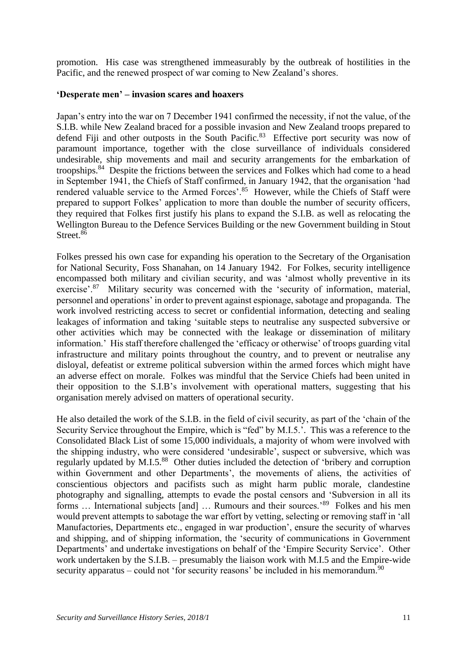promotion. His case was strengthened immeasurably by the outbreak of hostilities in the Pacific, and the renewed prospect of war coming to New Zealand's shores.

### **'Desperate men' – invasion scares and hoaxers**

Japan's entry into the war on 7 December 1941 confirmed the necessity, if not the value, of the S.I.B. while New Zealand braced for a possible invasion and New Zealand troops prepared to defend Fiji and other outposts in the South Pacific.<sup>83</sup> Effective port security was now of paramount importance, together with the close surveillance of individuals considered undesirable, ship movements and mail and security arrangements for the embarkation of troopships.<sup>84</sup> Despite the frictions between the services and Folkes which had come to a head in September 1941, the Chiefs of Staff confirmed, in January 1942, that the organisation 'had rendered valuable service to the Armed Forces'.<sup>85</sup> However, while the Chiefs of Staff were prepared to support Folkes' application to more than double the number of security officers, they required that Folkes first justify his plans to expand the S.I.B. as well as relocating the Wellington Bureau to the Defence Services Building or the new Government building in Stout Street.<sup>86</sup>

Folkes pressed his own case for expanding his operation to the Secretary of the Organisation for National Security, Foss Shanahan, on 14 January 1942. For Folkes, security intelligence encompassed both military and civilian security, and was 'almost wholly preventive in its exercise'.<sup>87</sup> Military security was concerned with the 'security of information, material, personnel and operations' in order to prevent against espionage, sabotage and propaganda. The work involved restricting access to secret or confidential information, detecting and sealing leakages of information and taking 'suitable steps to neutralise any suspected subversive or other activities which may be connected with the leakage or dissemination of military information.' His staff therefore challenged the 'efficacy or otherwise' of troops guarding vital infrastructure and military points throughout the country, and to prevent or neutralise any disloyal, defeatist or extreme political subversion within the armed forces which might have an adverse effect on morale. Folkes was mindful that the Service Chiefs had been united in their opposition to the S.I.B's involvement with operational matters, suggesting that his organisation merely advised on matters of operational security.

He also detailed the work of the S.I.B. in the field of civil security, as part of the 'chain of the Security Service throughout the Empire, which is "fed" by M.I.5.'. This was a reference to the Consolidated Black List of some 15,000 individuals, a majority of whom were involved with the shipping industry, who were considered 'undesirable', suspect or subversive, which was regularly updated by M.I.5.<sup>88</sup> Other duties included the detection of 'bribery and corruption within Government and other Departments', the movements of aliens, the activities of conscientious objectors and pacifists such as might harm public morale, clandestine photography and signalling, attempts to evade the postal censors and 'Subversion in all its forms ... International subjects [and] ... Rumours and their sources.'<sup>89</sup> Folkes and his men would prevent attempts to sabotage the war effort by vetting, selecting or removing staff in 'all Manufactories, Departments etc., engaged in war production', ensure the security of wharves and shipping, and of shipping information, the 'security of communications in Government Departments' and undertake investigations on behalf of the 'Empire Security Service'. Other work undertaken by the S.I.B. – presumably the liaison work with M.I.5 and the Empire-wide security apparatus – could not 'for security reasons' be included in his memorandum.<sup>90</sup>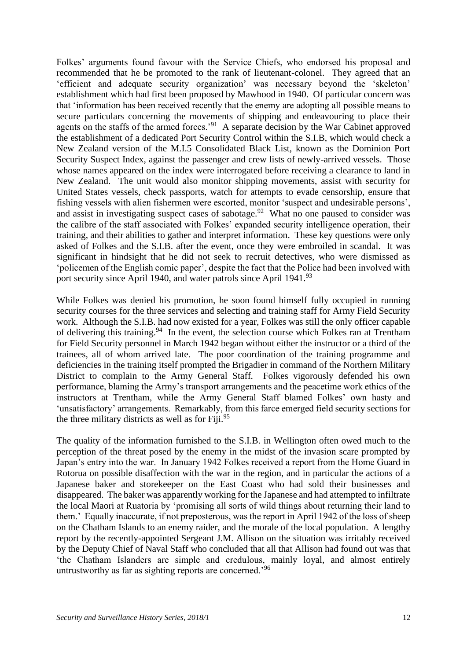Folkes' arguments found favour with the Service Chiefs, who endorsed his proposal and recommended that he be promoted to the rank of lieutenant-colonel. They agreed that an 'efficient and adequate security organization' was necessary beyond the 'skeleton' establishment which had first been proposed by Mawhood in 1940. Of particular concern was that 'information has been received recently that the enemy are adopting all possible means to secure particulars concerning the movements of shipping and endeavouring to place their agents on the staffs of the armed forces.<sup>'91</sup> A separate decision by the War Cabinet approved the establishment of a dedicated Port Security Control within the S.I.B, which would check a New Zealand version of the M.I.5 Consolidated Black List, known as the Dominion Port Security Suspect Index, against the passenger and crew lists of newly-arrived vessels. Those whose names appeared on the index were interrogated before receiving a clearance to land in New Zealand. The unit would also monitor shipping movements, assist with security for United States vessels, check passports, watch for attempts to evade censorship, ensure that fishing vessels with alien fishermen were escorted, monitor 'suspect and undesirable persons', and assist in investigating suspect cases of sabotage.<sup>92</sup> What no one paused to consider was the calibre of the staff associated with Folkes' expanded security intelligence operation, their training, and their abilities to gather and interpret information. These key questions were only asked of Folkes and the S.I.B. after the event, once they were embroiled in scandal. It was significant in hindsight that he did not seek to recruit detectives, who were dismissed as 'policemen of the English comic paper', despite the fact that the Police had been involved with port security since April 1940, and water patrols since April 1941.<sup>93</sup>

While Folkes was denied his promotion, he soon found himself fully occupied in running security courses for the three services and selecting and training staff for Army Field Security work. Although the S.I.B. had now existed for a year, Folkes was still the only officer capable of delivering this training.<sup>94</sup> In the event, the selection course which Folkes ran at Trentham for Field Security personnel in March 1942 began without either the instructor or a third of the trainees, all of whom arrived late. The poor coordination of the training programme and deficiencies in the training itself prompted the Brigadier in command of the Northern Military District to complain to the Army General Staff. Folkes vigorously defended his own performance, blaming the Army's transport arrangements and the peacetime work ethics of the instructors at Trentham, while the Army General Staff blamed Folkes' own hasty and 'unsatisfactory' arrangements. Remarkably, from this farce emerged field security sections for the three military districts as well as for Fiji. $^{95}$ 

The quality of the information furnished to the S.I.B. in Wellington often owed much to the perception of the threat posed by the enemy in the midst of the invasion scare prompted by Japan's entry into the war. In January 1942 Folkes received a report from the Home Guard in Rotorua on possible disaffection with the war in the region, and in particular the actions of a Japanese baker and storekeeper on the East Coast who had sold their businesses and disappeared. The baker was apparently working for the Japanese and had attempted to infiltrate the local Maori at Ruatoria by 'promising all sorts of wild things about returning their land to them.' Equally inaccurate, if not preposterous, was the report in April 1942 of the loss of sheep on the Chatham Islands to an enemy raider, and the morale of the local population. A lengthy report by the recently-appointed Sergeant J.M. Allison on the situation was irritably received by the Deputy Chief of Naval Staff who concluded that all that Allison had found out was that 'the Chatham Islanders are simple and credulous, mainly loyal, and almost entirely untrustworthy as far as sighting reports are concerned.'<sup>96</sup>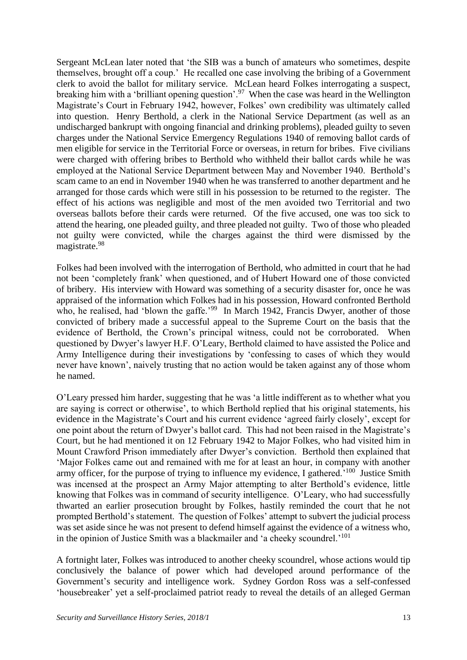Sergeant McLean later noted that 'the SIB was a bunch of amateurs who sometimes, despite themselves, brought off a coup.' He recalled one case involving the bribing of a Government clerk to avoid the ballot for military service. McLean heard Folkes interrogating a suspect, breaking him with a 'brilliant opening question'.<sup>97</sup> When the case was heard in the Wellington Magistrate's Court in February 1942, however, Folkes' own credibility was ultimately called into question. Henry Berthold, a clerk in the National Service Department (as well as an undischarged bankrupt with ongoing financial and drinking problems), pleaded guilty to seven charges under the National Service Emergency Regulations 1940 of removing ballot cards of men eligible for service in the Territorial Force or overseas, in return for bribes. Five civilians were charged with offering bribes to Berthold who withheld their ballot cards while he was employed at the National Service Department between May and November 1940. Berthold's scam came to an end in November 1940 when he was transferred to another department and he arranged for those cards which were still in his possession to be returned to the register. The effect of his actions was negligible and most of the men avoided two Territorial and two overseas ballots before their cards were returned. Of the five accused, one was too sick to attend the hearing, one pleaded guilty, and three pleaded not guilty. Two of those who pleaded not guilty were convicted, while the charges against the third were dismissed by the magistrate.<sup>98</sup>

Folkes had been involved with the interrogation of Berthold, who admitted in court that he had not been 'completely frank' when questioned, and of Hubert Howard one of those convicted of bribery. His interview with Howard was something of a security disaster for, once he was appraised of the information which Folkes had in his possession, Howard confronted Berthold who, he realised, had 'blown the gaffe.'<sup>99</sup> In March 1942, Francis Dwyer, another of those convicted of bribery made a successful appeal to the Supreme Court on the basis that the evidence of Berthold, the Crown's principal witness, could not be corroborated. When questioned by Dwyer's lawyer H.F. O'Leary, Berthold claimed to have assisted the Police and Army Intelligence during their investigations by 'confessing to cases of which they would never have known', naively trusting that no action would be taken against any of those whom he named.

O'Leary pressed him harder, suggesting that he was 'a little indifferent as to whether what you are saying is correct or otherwise', to which Berthold replied that his original statements, his evidence in the Magistrate's Court and his current evidence 'agreed fairly closely', except for one point about the return of Dwyer's ballot card. This had not been raised in the Magistrate's Court, but he had mentioned it on 12 February 1942 to Major Folkes, who had visited him in Mount Crawford Prison immediately after Dwyer's conviction. Berthold then explained that 'Major Folkes came out and remained with me for at least an hour, in company with another army officer, for the purpose of trying to influence my evidence, I gathered.<sup>'100</sup> Justice Smith was incensed at the prospect an Army Major attempting to alter Berthold's evidence, little knowing that Folkes was in command of security intelligence. O'Leary, who had successfully thwarted an earlier prosecution brought by Folkes, hastily reminded the court that he not prompted Berthold's statement. The question of Folkes' attempt to subvert the judicial process was set aside since he was not present to defend himself against the evidence of a witness who, in the opinion of Justice Smith was a blackmailer and 'a cheeky scoundrel.'<sup>101</sup>

A fortnight later, Folkes was introduced to another cheeky scoundrel, whose actions would tip conclusively the balance of power which had developed around performance of the Government's security and intelligence work. Sydney Gordon Ross was a self-confessed 'housebreaker' yet a self-proclaimed patriot ready to reveal the details of an alleged German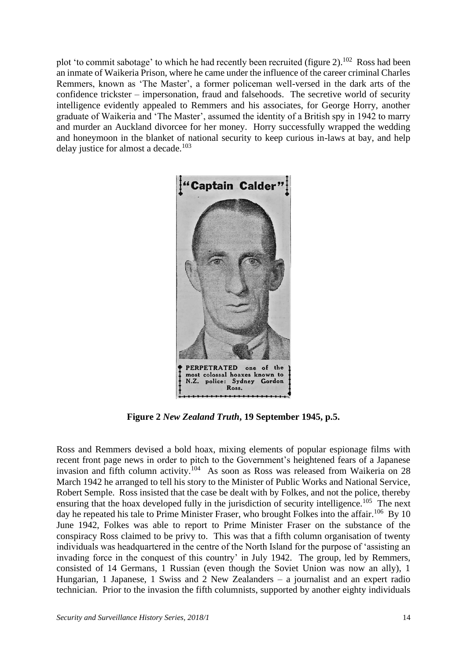plot 'to commit sabotage' to which he had recently been recruited (figure 2).<sup>102</sup> Ross had been an inmate of Waikeria Prison, where he came under the influence of the career criminal Charles Remmers, known as 'The Master', a former policeman well-versed in the dark arts of the confidence trickster – impersonation, fraud and falsehoods. The secretive world of security intelligence evidently appealed to Remmers and his associates, for George Horry, another graduate of Waikeria and 'The Master', assumed the identity of a British spy in 1942 to marry and murder an Auckland divorcee for her money. Horry successfully wrapped the wedding and honeymoon in the blanket of national security to keep curious in-laws at bay, and help delay justice for almost a decade.<sup>103</sup>



**Figure 2** *New Zealand Truth***, 19 September 1945, p.5.**

Ross and Remmers devised a bold hoax, mixing elements of popular espionage films with recent front page news in order to pitch to the Government's heightened fears of a Japanese invasion and fifth column activity.<sup>104</sup> As soon as Ross was released from Waikeria on 28 March 1942 he arranged to tell his story to the Minister of Public Works and National Service, Robert Semple. Ross insisted that the case be dealt with by Folkes, and not the police, thereby ensuring that the hoax developed fully in the jurisdiction of security intelligence.<sup>105</sup> The next day he repeated his tale to Prime Minister Fraser, who brought Folkes into the affair.<sup>106</sup> By 10 June 1942, Folkes was able to report to Prime Minister Fraser on the substance of the conspiracy Ross claimed to be privy to. This was that a fifth column organisation of twenty individuals was headquartered in the centre of the North Island for the purpose of 'assisting an invading force in the conquest of this country' in July 1942. The group, led by Remmers, consisted of 14 Germans, 1 Russian (even though the Soviet Union was now an ally), 1 Hungarian, 1 Japanese, 1 Swiss and 2 New Zealanders – a journalist and an expert radio technician. Prior to the invasion the fifth columnists, supported by another eighty individuals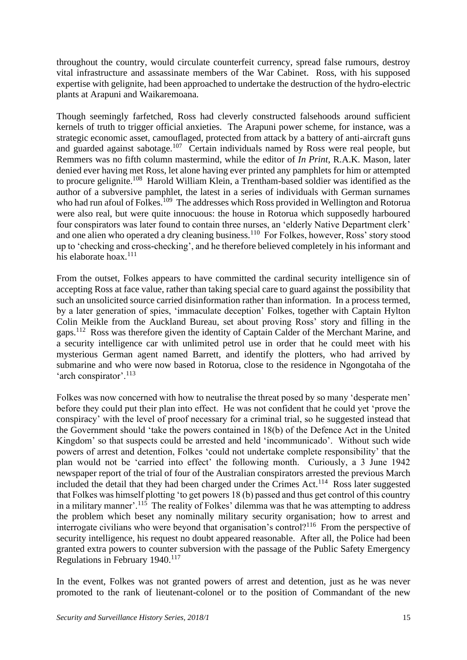throughout the country, would circulate counterfeit currency, spread false rumours, destroy vital infrastructure and assassinate members of the War Cabinet. Ross, with his supposed expertise with gelignite, had been approached to undertake the destruction of the hydro-electric plants at Arapuni and Waikaremoana.

Though seemingly farfetched, Ross had cleverly constructed falsehoods around sufficient kernels of truth to trigger official anxieties. The Arapuni power scheme, for instance, was a strategic economic asset, camouflaged, protected from attack by a battery of anti-aircraft guns and guarded against sabotage.<sup>107</sup> Certain individuals named by Ross were real people, but Remmers was no fifth column mastermind, while the editor of *In Print*, R.A.K. Mason, later denied ever having met Ross, let alone having ever printed any pamphlets for him or attempted to procure gelignite.<sup>108</sup> Harold William Klein, a Trentham-based soldier was identified as the author of a subversive pamphlet, the latest in a series of individuals with German surnames who had run afoul of Folkes.<sup>109</sup> The addresses which Ross provided in Wellington and Rotorua were also real, but were quite innocuous: the house in Rotorua which supposedly harboured four conspirators was later found to contain three nurses, an 'elderly Native Department clerk' and one alien who operated a dry cleaning business.<sup>110</sup> For Folkes, however, Ross' story stood up to 'checking and cross-checking', and he therefore believed completely in his informant and his elaborate hoax.<sup>111</sup>

From the outset, Folkes appears to have committed the cardinal security intelligence sin of accepting Ross at face value, rather than taking special care to guard against the possibility that such an unsolicited source carried disinformation rather than information. In a process termed, by a later generation of spies, 'immaculate deception' Folkes, together with Captain Hylton Colin Meikle from the Auckland Bureau, set about proving Ross' story and filling in the gaps.<sup>112</sup> Ross was therefore given the identity of Captain Calder of the Merchant Marine, and a security intelligence car with unlimited petrol use in order that he could meet with his mysterious German agent named Barrett, and identify the plotters, who had arrived by submarine and who were now based in Rotorua, close to the residence in Ngongotaha of the 'arch conspirator'.<sup>113</sup>

Folkes was now concerned with how to neutralise the threat posed by so many 'desperate men' before they could put their plan into effect. He was not confident that he could yet 'prove the conspiracy' with the level of proof necessary for a criminal trial, so he suggested instead that the Government should 'take the powers contained in 18(b) of the Defence Act in the United Kingdom' so that suspects could be arrested and held 'incommunicado'. Without such wide powers of arrest and detention, Folkes 'could not undertake complete responsibility' that the plan would not be 'carried into effect' the following month. Curiously, a 3 June 1942 newspaper report of the trial of four of the Australian conspirators arrested the previous March included the detail that they had been charged under the Crimes Act.<sup>114</sup> Ross later suggested that Folkes was himself plotting 'to get powers 18 (b) passed and thus get control of this country in a military manner'.<sup>115</sup> The reality of Folkes' dilemma was that he was attempting to address the problem which beset any nominally military security organisation; how to arrest and interrogate civilians who were beyond that organisation's control?<sup>116</sup> From the perspective of security intelligence, his request no doubt appeared reasonable. After all, the Police had been granted extra powers to counter subversion with the passage of the Public Safety Emergency Regulations in February 1940.<sup>117</sup>

In the event, Folkes was not granted powers of arrest and detention, just as he was never promoted to the rank of lieutenant-colonel or to the position of Commandant of the new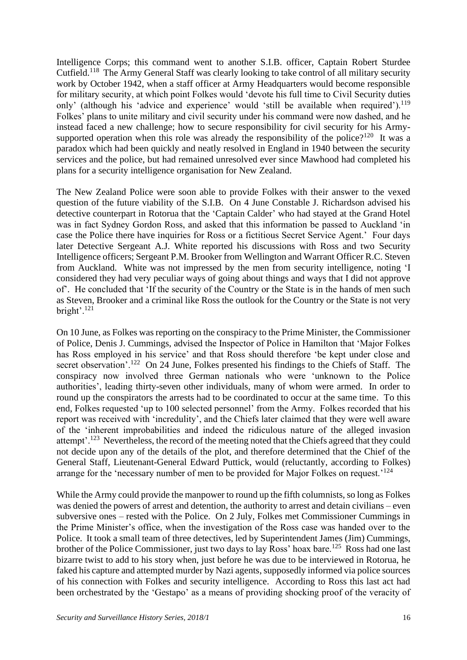Intelligence Corps; this command went to another S.I.B. officer, Captain Robert Sturdee Cutfield.<sup>118</sup> The Army General Staff was clearly looking to take control of all military security work by October 1942, when a staff officer at Army Headquarters would become responsible for military security, at which point Folkes would 'devote his full time to Civil Security duties only' (although his 'advice and experience' would 'still be available when required').<sup>119</sup> Folkes' plans to unite military and civil security under his command were now dashed, and he instead faced a new challenge; how to secure responsibility for civil security for his Armysupported operation when this role was already the responsibility of the police?<sup>120</sup> It was a paradox which had been quickly and neatly resolved in England in 1940 between the security services and the police, but had remained unresolved ever since Mawhood had completed his plans for a security intelligence organisation for New Zealand.

The New Zealand Police were soon able to provide Folkes with their answer to the vexed question of the future viability of the S.I.B. On 4 June Constable J. Richardson advised his detective counterpart in Rotorua that the 'Captain Calder' who had stayed at the Grand Hotel was in fact Sydney Gordon Ross, and asked that this information be passed to Auckland 'in case the Police there have inquiries for Ross or a fictitious Secret Service Agent.' Four days later Detective Sergeant A.J. White reported his discussions with Ross and two Security Intelligence officers; Sergeant P.M. Brooker from Wellington and Warrant Officer R.C. Steven from Auckland. White was not impressed by the men from security intelligence, noting 'I considered they had very peculiar ways of going about things and ways that I did not approve of'. He concluded that 'If the security of the Country or the State is in the hands of men such as Steven, Brooker and a criminal like Ross the outlook for the Country or the State is not very bright'.<sup>121</sup>

On 10 June, as Folkes was reporting on the conspiracy to the Prime Minister, the Commissioner of Police, Denis J. Cummings, advised the Inspector of Police in Hamilton that 'Major Folkes has Ross employed in his service' and that Ross should therefore 'be kept under close and secret observation'.<sup>122</sup> On 24 June, Folkes presented his findings to the Chiefs of Staff. The conspiracy now involved three German nationals who were 'unknown to the Police authorities', leading thirty-seven other individuals, many of whom were armed. In order to round up the conspirators the arrests had to be coordinated to occur at the same time. To this end, Folkes requested 'up to 100 selected personnel' from the Army. Folkes recorded that his report was received with 'incredulity', and the Chiefs later claimed that they were well aware of the 'inherent improbabilities and indeed the ridiculous nature of the alleged invasion attempt'.<sup>123</sup> Nevertheless, the record of the meeting noted that the Chiefs agreed that they could not decide upon any of the details of the plot, and therefore determined that the Chief of the General Staff, Lieutenant-General Edward Puttick, would (reluctantly, according to Folkes) arrange for the 'necessary number of men to be provided for Major Folkes on request.<sup>'124</sup>

While the Army could provide the manpower to round up the fifth columnists, so long as Folkes was denied the powers of arrest and detention, the authority to arrest and detain civilians – even subversive ones – rested with the Police. On 2 July, Folkes met Commissioner Cummings in the Prime Minister's office, when the investigation of the Ross case was handed over to the Police. It took a small team of three detectives, led by Superintendent James (Jim) Cummings, brother of the Police Commissioner, just two days to lay Ross' hoax bare.<sup>125</sup> Ross had one last bizarre twist to add to his story when, just before he was due to be interviewed in Rotorua, he faked his capture and attempted murder by Nazi agents, supposedly informed via police sources of his connection with Folkes and security intelligence. According to Ross this last act had been orchestrated by the 'Gestapo' as a means of providing shocking proof of the veracity of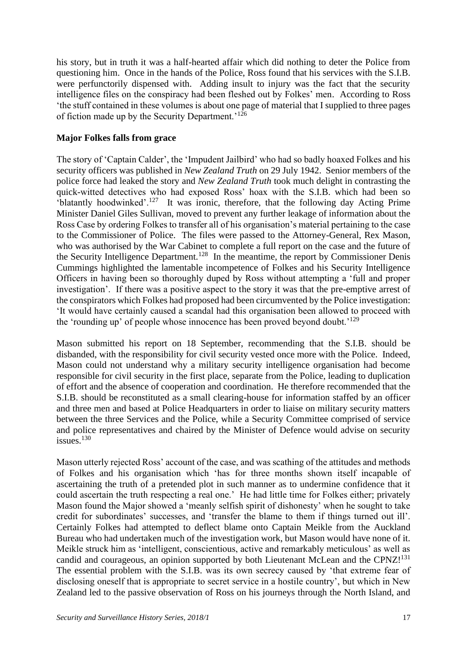his story, but in truth it was a half-hearted affair which did nothing to deter the Police from questioning him. Once in the hands of the Police, Ross found that his services with the S.I.B. were perfunctorily dispensed with. Adding insult to injury was the fact that the security intelligence files on the conspiracy had been fleshed out by Folkes' men. According to Ross 'the stuff contained in these volumes is about one page of material that I supplied to three pages of fiction made up by the Security Department.<sup>'126</sup>

### **Major Folkes falls from grace**

The story of 'Captain Calder', the 'Impudent Jailbird' who had so badly hoaxed Folkes and his security officers was published in *New Zealand Truth* on 29 July 1942. Senior members of the police force had leaked the story and *New Zealand Truth* took much delight in contrasting the quick-witted detectives who had exposed Ross' hoax with the S.I.B. which had been so 'blatantly hoodwinked'.<sup>127</sup> It was ironic, therefore, that the following day Acting Prime Minister Daniel Giles Sullivan, moved to prevent any further leakage of information about the Ross Case by ordering Folkes to transfer all of his organisation's material pertaining to the case to the Commissioner of Police. The files were passed to the Attorney-General, Rex Mason, who was authorised by the War Cabinet to complete a full report on the case and the future of the Security Intelligence Department.<sup>128</sup> In the meantime, the report by Commissioner Denis Cummings highlighted the lamentable incompetence of Folkes and his Security Intelligence Officers in having been so thoroughly duped by Ross without attempting a 'full and proper investigation'. If there was a positive aspect to the story it was that the pre-emptive arrest of the conspirators which Folkes had proposed had been circumvented by the Police investigation: 'It would have certainly caused a scandal had this organisation been allowed to proceed with the 'rounding up' of people whose innocence has been proved beyond doubt.<sup>'129</sup>

Mason submitted his report on 18 September, recommending that the S.I.B. should be disbanded, with the responsibility for civil security vested once more with the Police. Indeed, Mason could not understand why a military security intelligence organisation had become responsible for civil security in the first place, separate from the Police, leading to duplication of effort and the absence of cooperation and coordination. He therefore recommended that the S.I.B. should be reconstituted as a small clearing-house for information staffed by an officer and three men and based at Police Headquarters in order to liaise on military security matters between the three Services and the Police, while a Security Committee comprised of service and police representatives and chaired by the Minister of Defence would advise on security issues. $130$ 

Mason utterly rejected Ross' account of the case, and was scathing of the attitudes and methods of Folkes and his organisation which 'has for three months shown itself incapable of ascertaining the truth of a pretended plot in such manner as to undermine confidence that it could ascertain the truth respecting a real one.' He had little time for Folkes either; privately Mason found the Major showed a 'meanly selfish spirit of dishonesty' when he sought to take credit for subordinates' successes, and 'transfer the blame to them if things turned out ill'. Certainly Folkes had attempted to deflect blame onto Captain Meikle from the Auckland Bureau who had undertaken much of the investigation work, but Mason would have none of it. Meikle struck him as 'intelligent, conscientious, active and remarkably meticulous' as well as candid and courageous, an opinion supported by both Lieutenant McLean and the CPNZ $!^{131}$ The essential problem with the S.I.B. was its own secrecy caused by 'that extreme fear of disclosing oneself that is appropriate to secret service in a hostile country', but which in New Zealand led to the passive observation of Ross on his journeys through the North Island, and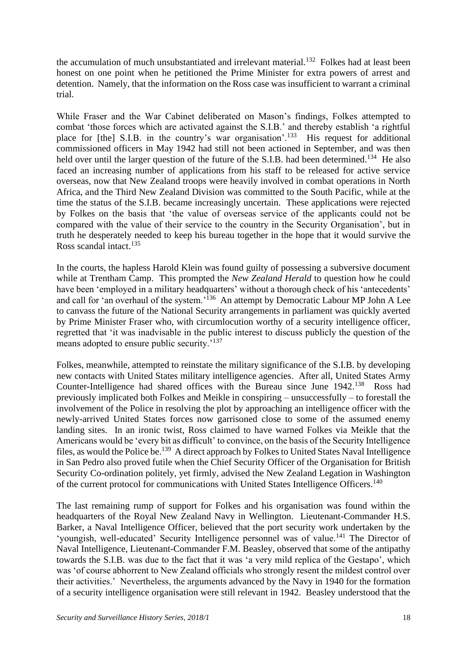the accumulation of much unsubstantiated and irrelevant material.<sup>132</sup> Folkes had at least been honest on one point when he petitioned the Prime Minister for extra powers of arrest and detention. Namely, that the information on the Ross case was insufficient to warrant a criminal trial.

While Fraser and the War Cabinet deliberated on Mason's findings, Folkes attempted to combat 'those forces which are activated against the S.I.B.' and thereby establish 'a rightful place for [the] S.I.B. in the country's war organisation'.<sup>133</sup> His request for additional commissioned officers in May 1942 had still not been actioned in September, and was then held over until the larger question of the future of the S.I.B. had been determined.<sup>134</sup> He also faced an increasing number of applications from his staff to be released for active service overseas, now that New Zealand troops were heavily involved in combat operations in North Africa, and the Third New Zealand Division was committed to the South Pacific, while at the time the status of the S.I.B. became increasingly uncertain. These applications were rejected by Folkes on the basis that 'the value of overseas service of the applicants could not be compared with the value of their service to the country in the Security Organisation', but in truth he desperately needed to keep his bureau together in the hope that it would survive the Ross scandal intact.<sup>135</sup>

In the courts, the hapless Harold Klein was found guilty of possessing a subversive document while at Trentham Camp. This prompted the *New Zealand Herald* to question how he could have been 'employed in a military headquarters' without a thorough check of his 'antecedents' and call for 'an overhaul of the system.'<sup>136</sup> An attempt by Democratic Labour MP John A Lee to canvass the future of the National Security arrangements in parliament was quickly averted by Prime Minister Fraser who, with circumlocution worthy of a security intelligence officer, regretted that 'it was inadvisable in the public interest to discuss publicly the question of the means adopted to ensure public security.'<sup>137</sup>

Folkes, meanwhile, attempted to reinstate the military significance of the S.I.B. by developing new contacts with United States military intelligence agencies. After all, United States Army Counter-Intelligence had shared offices with the Bureau since June 1942.<sup>138</sup> Ross had previously implicated both Folkes and Meikle in conspiring – unsuccessfully – to forestall the involvement of the Police in resolving the plot by approaching an intelligence officer with the newly-arrived United States forces now garrisoned close to some of the assumed enemy landing sites. In an ironic twist, Ross claimed to have warned Folkes via Meikle that the Americans would be 'every bit as difficult' to convince, on the basis of the Security Intelligence files, as would the Police be.<sup>139</sup> A direct approach by Folkes to United States Naval Intelligence in San Pedro also proved futile when the Chief Security Officer of the Organisation for British Security Co-ordination politely, yet firmly, advised the New Zealand Legation in Washington of the current protocol for communications with United States Intelligence Officers.<sup>140</sup>

The last remaining rump of support for Folkes and his organisation was found within the headquarters of the Royal New Zealand Navy in Wellington. Lieutenant-Commander H.S. Barker, a Naval Intelligence Officer, believed that the port security work undertaken by the 'youngish, well-educated' Security Intelligence personnel was of value.<sup>141</sup> The Director of Naval Intelligence, Lieutenant-Commander F.M. Beasley, observed that some of the antipathy towards the S.I.B. was due to the fact that it was 'a very mild replica of the Gestapo', which was 'of course abhorrent to New Zealand officials who strongly resent the mildest control over their activities.' Nevertheless, the arguments advanced by the Navy in 1940 for the formation of a security intelligence organisation were still relevant in 1942. Beasley understood that the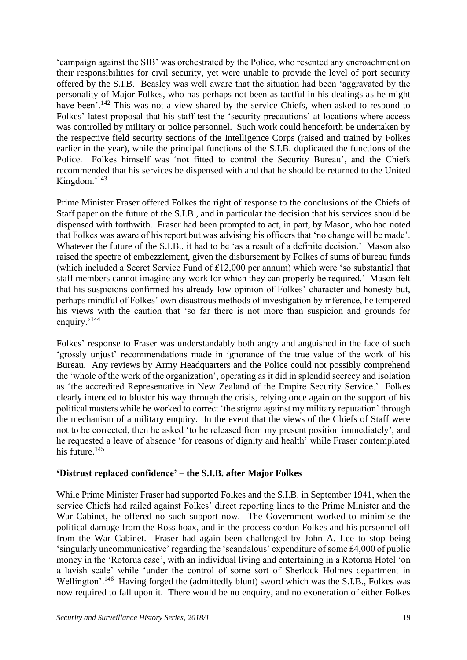'campaign against the SIB' was orchestrated by the Police, who resented any encroachment on their responsibilities for civil security, yet were unable to provide the level of port security offered by the S.I.B. Beasley was well aware that the situation had been 'aggravated by the personality of Major Folkes, who has perhaps not been as tactful in his dealings as he might have been'.<sup>142</sup> This was not a view shared by the service Chiefs, when asked to respond to Folkes' latest proposal that his staff test the 'security precautions' at locations where access was controlled by military or police personnel. Such work could henceforth be undertaken by the respective field security sections of the Intelligence Corps (raised and trained by Folkes earlier in the year), while the principal functions of the S.I.B. duplicated the functions of the Police. Folkes himself was 'not fitted to control the Security Bureau', and the Chiefs recommended that his services be dispensed with and that he should be returned to the United Kingdom.'<sup>143</sup>

Prime Minister Fraser offered Folkes the right of response to the conclusions of the Chiefs of Staff paper on the future of the S.I.B., and in particular the decision that his services should be dispensed with forthwith. Fraser had been prompted to act, in part, by Mason, who had noted that Folkes was aware of his report but was advising his officers that 'no change will be made'. Whatever the future of the S.I.B., it had to be 'as a result of a definite decision.' Mason also raised the spectre of embezzlement, given the disbursement by Folkes of sums of bureau funds (which included a Secret Service Fund of £12,000 per annum) which were 'so substantial that staff members cannot imagine any work for which they can properly be required.' Mason felt that his suspicions confirmed his already low opinion of Folkes' character and honesty but, perhaps mindful of Folkes' own disastrous methods of investigation by inference, he tempered his views with the caution that 'so far there is not more than suspicion and grounds for enquiry.'<sup>144</sup>

Folkes' response to Fraser was understandably both angry and anguished in the face of such 'grossly unjust' recommendations made in ignorance of the true value of the work of his Bureau. Any reviews by Army Headquarters and the Police could not possibly comprehend the 'whole of the work of the organization', operating as it did in splendid secrecy and isolation as 'the accredited Representative in New Zealand of the Empire Security Service.' Folkes clearly intended to bluster his way through the crisis, relying once again on the support of his political masters while he worked to correct 'the stigma against my military reputation' through the mechanism of a military enquiry. In the event that the views of the Chiefs of Staff were not to be corrected, then he asked 'to be released from my present position immediately', and he requested a leave of absence 'for reasons of dignity and health' while Fraser contemplated his future.<sup>145</sup>

### **'Distrust replaced confidence' – the S.I.B. after Major Folkes**

While Prime Minister Fraser had supported Folkes and the S.I.B. in September 1941, when the service Chiefs had railed against Folkes' direct reporting lines to the Prime Minister and the War Cabinet, he offered no such support now. The Government worked to minimise the political damage from the Ross hoax, and in the process cordon Folkes and his personnel off from the War Cabinet. Fraser had again been challenged by John A. Lee to stop being 'singularly uncommunicative' regarding the 'scandalous' expenditure of some £4,000 of public money in the 'Rotorua case', with an individual living and entertaining in a Rotorua Hotel 'on a lavish scale' while 'under the control of some sort of Sherlock Holmes department in Wellington'.<sup>146</sup> Having forged the (admittedly blunt) sword which was the S.I.B., Folkes was now required to fall upon it. There would be no enquiry, and no exoneration of either Folkes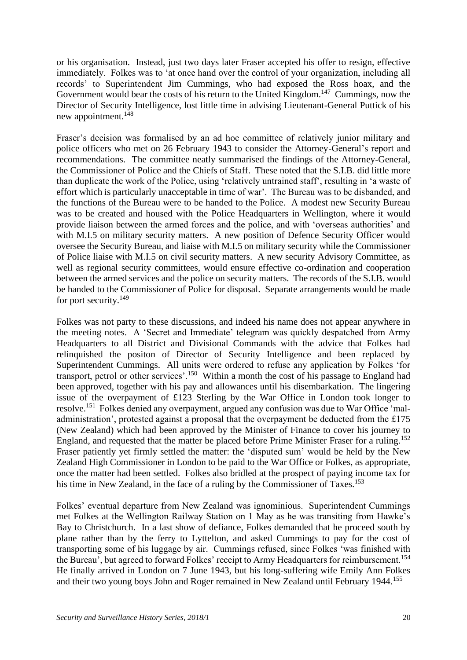or his organisation. Instead, just two days later Fraser accepted his offer to resign, effective immediately. Folkes was to 'at once hand over the control of your organization, including all records' to Superintendent Jim Cummings, who had exposed the Ross hoax, and the Government would bear the costs of his return to the United Kingdom.<sup>147</sup> Cummings, now the Director of Security Intelligence, lost little time in advising Lieutenant-General Puttick of his new appointment.<sup>148</sup>

Fraser's decision was formalised by an ad hoc committee of relatively junior military and police officers who met on 26 February 1943 to consider the Attorney-General's report and recommendations. The committee neatly summarised the findings of the Attorney-General, the Commissioner of Police and the Chiefs of Staff. These noted that the S.I.B. did little more than duplicate the work of the Police, using 'relatively untrained staff', resulting in 'a waste of effort which is particularly unacceptable in time of war'. The Bureau was to be disbanded, and the functions of the Bureau were to be handed to the Police. A modest new Security Bureau was to be created and housed with the Police Headquarters in Wellington, where it would provide liaison between the armed forces and the police, and with 'overseas authorities' and with M.I.5 on military security matters. A new position of Defence Security Officer would oversee the Security Bureau, and liaise with M.I.5 on military security while the Commissioner of Police liaise with M.I.5 on civil security matters. A new security Advisory Committee, as well as regional security committees, would ensure effective co-ordination and cooperation between the armed services and the police on security matters. The records of the S.I.B. would be handed to the Commissioner of Police for disposal. Separate arrangements would be made for port security.<sup>149</sup>

Folkes was not party to these discussions, and indeed his name does not appear anywhere in the meeting notes. A 'Secret and Immediate' telegram was quickly despatched from Army Headquarters to all District and Divisional Commands with the advice that Folkes had relinquished the positon of Director of Security Intelligence and been replaced by Superintendent Cummings. All units were ordered to refuse any application by Folkes 'for transport, petrol or other services'.<sup>150</sup> Within a month the cost of his passage to England had been approved, together with his pay and allowances until his disembarkation. The lingering issue of the overpayment of £123 Sterling by the War Office in London took longer to resolve.<sup>151</sup> Folkes denied any overpayment, argued any confusion was due to War Office 'maladministration', protested against a proposal that the overpayment be deducted from the £175 (New Zealand) which had been approved by the Minister of Finance to cover his journey to England, and requested that the matter be placed before Prime Minister Fraser for a ruling.<sup>152</sup> Fraser patiently yet firmly settled the matter: the 'disputed sum' would be held by the New Zealand High Commissioner in London to be paid to the War Office or Folkes, as appropriate, once the matter had been settled. Folkes also bridled at the prospect of paying income tax for his time in New Zealand, in the face of a ruling by the Commissioner of Taxes.<sup>153</sup>

Folkes' eventual departure from New Zealand was ignominious. Superintendent Cummings met Folkes at the Wellington Railway Station on 1 May as he was transiting from Hawke's Bay to Christchurch. In a last show of defiance, Folkes demanded that he proceed south by plane rather than by the ferry to Lyttelton, and asked Cummings to pay for the cost of transporting some of his luggage by air. Cummings refused, since Folkes 'was finished with the Bureau', but agreed to forward Folkes' receipt to Army Headquarters for reimbursement.<sup>154</sup> He finally arrived in London on 7 June 1943, but his long-suffering wife Emily Ann Folkes and their two young boys John and Roger remained in New Zealand until February 1944.<sup>155</sup>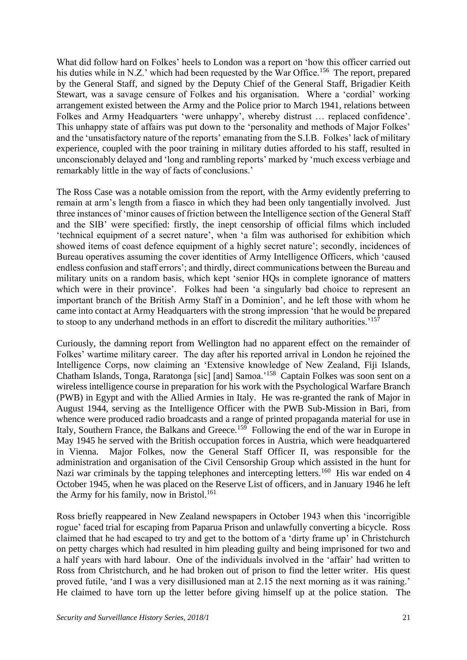What did follow hard on Folkes' heels to London was a report on 'how this officer carried out his duties while in N.Z.' which had been requested by the War Office.<sup>156</sup> The report, prepared by the General Staff, and signed by the Deputy Chief of the General Staff, Brigadier Keith Stewart, was a savage censure of Folkes and his organisation. Where a 'cordial' working arrangement existed between the Army and the Police prior to March 1941, relations between Folkes and Army Headquarters 'were unhappy', whereby distrust … replaced confidence'. This unhappy state of affairs was put down to the 'personality and methods of Major Folkes' and the 'unsatisfactory nature of the reports' emanating from the S.I.B. Folkes' lack of military experience, coupled with the poor training in military duties afforded to his staff, resulted in unconscionably delayed and 'long and rambling reports' marked by 'much excess verbiage and remarkably little in the way of facts of conclusions.'

The Ross Case was a notable omission from the report, with the Army evidently preferring to remain at arm's length from a fiasco in which they had been only tangentially involved. Just three instances of 'minor causes of friction between the Intelligence section of the General Staff and the SIB' were specified: firstly, the inept censorship of official films which included 'technical equipment of a secret nature', when 'a film was authorised for exhibition which showed items of coast defence equipment of a highly secret nature'; secondly, incidences of Bureau operatives assuming the cover identities of Army Intelligence Officers, which 'caused endless confusion and staff errors'; and thirdly, direct communications between the Bureau and military units on a random basis, which kept 'senior HQs in complete ignorance of matters which were in their province'. Folkes had been 'a singularly bad choice to represent an important branch of the British Army Staff in a Dominion', and he left those with whom he came into contact at Army Headquarters with the strong impression 'that he would be prepared to stoop to any underhand methods in an effort to discredit the military authorities.<sup>157</sup>

Curiously, the damning report from Wellington had no apparent effect on the remainder of Folkes' wartime military career. The day after his reported arrival in London he rejoined the Intelligence Corps, now claiming an 'Extensive knowledge of New Zealand, Fiji Islands, Chatham Islands, Tonga, Raratonga [sic] [and] Samoa.<sup>'158</sup> Captain Folkes was soon sent on a wireless intelligence course in preparation for his work with the Psychological Warfare Branch (PWB) in Egypt and with the Allied Armies in Italy. He was re-granted the rank of Major in August 1944, serving as the Intelligence Officer with the PWB Sub-Mission in Bari, from whence were produced radio broadcasts and a range of printed propaganda material for use in Italy, Southern France, the Balkans and Greece.<sup>159</sup> Following the end of the war in Europe in May 1945 he served with the British occupation forces in Austria, which were headquartered in Vienna. Major Folkes, now the General Staff Officer II, was responsible for the administration and organisation of the Civil Censorship Group which assisted in the hunt for Nazi war criminals by the tapping telephones and intercepting letters.<sup>160</sup> His war ended on 4 October 1945, when he was placed on the Reserve List of officers, and in January 1946 he left the Army for his family, now in Bristol.<sup>161</sup>

Ross briefly reappeared in New Zealand newspapers in October 1943 when this 'incorrigible rogue' faced trial for escaping from Paparua Prison and unlawfully converting a bicycle. Ross claimed that he had escaped to try and get to the bottom of a 'dirty frame up' in Christchurch on petty charges which had resulted in him pleading guilty and being imprisoned for two and a half years with hard labour. One of the individuals involved in the 'affair' had written to Ross from Christchurch, and he had broken out of prison to find the letter writer. His quest proved futile, 'and I was a very disillusioned man at 2.15 the next morning as it was raining.' He claimed to have torn up the letter before giving himself up at the police station. The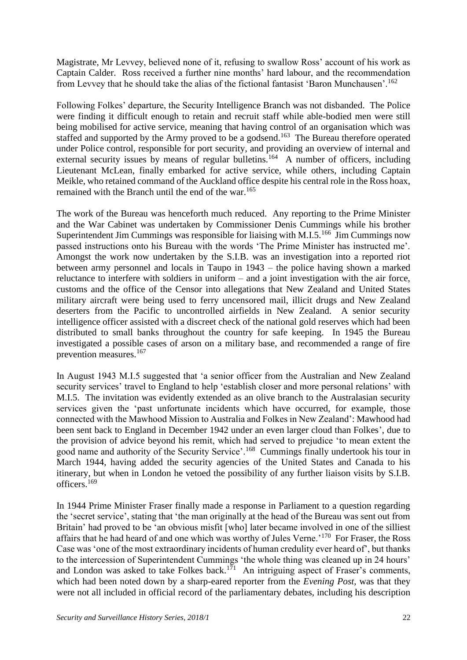Magistrate, Mr Levvey, believed none of it, refusing to swallow Ross' account of his work as Captain Calder. Ross received a further nine months' hard labour, and the recommendation from Levvey that he should take the alias of the fictional fantasist 'Baron Munchausen'.<sup>162</sup>

Following Folkes' departure, the Security Intelligence Branch was not disbanded. The Police were finding it difficult enough to retain and recruit staff while able-bodied men were still being mobilised for active service, meaning that having control of an organisation which was staffed and supported by the Army proved to be a godsend.<sup>163</sup> The Bureau therefore operated under Police control, responsible for port security, and providing an overview of internal and external security issues by means of regular bulletins.<sup>164</sup> A number of officers, including Lieutenant McLean, finally embarked for active service, while others, including Captain Meikle, who retained command of the Auckland office despite his central role in the Ross hoax, remained with the Branch until the end of the war.<sup>165</sup>

The work of the Bureau was henceforth much reduced. Any reporting to the Prime Minister and the War Cabinet was undertaken by Commissioner Denis Cummings while his brother Superintendent Jim Cummings was responsible for liaising with M.I.5.<sup>166</sup> Jim Cummings now passed instructions onto his Bureau with the words 'The Prime Minister has instructed me'. Amongst the work now undertaken by the S.I.B. was an investigation into a reported riot between army personnel and locals in Taupo in 1943 – the police having shown a marked reluctance to interfere with soldiers in uniform – and a joint investigation with the air force, customs and the office of the Censor into allegations that New Zealand and United States military aircraft were being used to ferry uncensored mail, illicit drugs and New Zealand deserters from the Pacific to uncontrolled airfields in New Zealand. A senior security intelligence officer assisted with a discreet check of the national gold reserves which had been distributed to small banks throughout the country for safe keeping. In 1945 the Bureau investigated a possible cases of arson on a military base, and recommended a range of fire prevention measures.<sup>167</sup>

In August 1943 M.I.5 suggested that 'a senior officer from the Australian and New Zealand security services' travel to England to help 'establish closer and more personal relations' with M.I.5. The invitation was evidently extended as an olive branch to the Australasian security services given the 'past unfortunate incidents which have occurred, for example, those connected with the Mawhood Mission to Australia and Folkes in New Zealand': Mawhood had been sent back to England in December 1942 under an even larger cloud than Folkes', due to the provision of advice beyond his remit, which had served to prejudice 'to mean extent the good name and authority of the Security Service'.<sup>168</sup> Cummings finally undertook his tour in March 1944, having added the security agencies of the United States and Canada to his itinerary, but when in London he vetoed the possibility of any further liaison visits by S.I.B. officers.<sup>169</sup>

In 1944 Prime Minister Fraser finally made a response in Parliament to a question regarding the 'secret service', stating that 'the man originally at the head of the Bureau was sent out from Britain' had proved to be 'an obvious misfit [who] later became involved in one of the silliest affairs that he had heard of and one which was worthy of Jules Verne.<sup>'170</sup> For Fraser, the Ross Case was 'one of the most extraordinary incidents of human credulity ever heard of', but thanks to the intercession of Superintendent Cummings 'the whole thing was cleaned up in 24 hours' and London was asked to take Folkes back.<sup>171</sup> An intriguing aspect of Fraser's comments, which had been noted down by a sharp-eared reporter from the *Evening Post*, was that they were not all included in official record of the parliamentary debates, including his description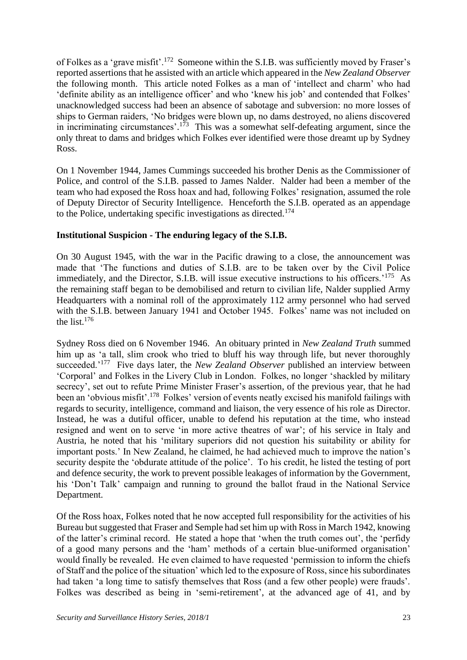of Folkes as a 'grave misfit'.<sup>172</sup> Someone within the S.I.B. was sufficiently moved by Fraser's reported assertions that he assisted with an article which appeared in the *New Zealand Observer* the following month. This article noted Folkes as a man of 'intellect and charm' who had 'definite ability as an intelligence officer' and who 'knew his job' and contended that Folkes' unacknowledged success had been an absence of sabotage and subversion: no more losses of ships to German raiders, 'No bridges were blown up, no dams destroyed, no aliens discovered in incriminating circumstances'.<sup>173</sup> This was a somewhat self-defeating argument, since the only threat to dams and bridges which Folkes ever identified were those dreamt up by Sydney Ross.

On 1 November 1944, James Cummings succeeded his brother Denis as the Commissioner of Police, and control of the S.I.B. passed to James Nalder. Nalder had been a member of the team who had exposed the Ross hoax and had, following Folkes' resignation, assumed the role of Deputy Director of Security Intelligence. Henceforth the S.I.B. operated as an appendage to the Police, undertaking specific investigations as directed.<sup>174</sup>

# **Institutional Suspicion - The enduring legacy of the S.I.B.**

On 30 August 1945, with the war in the Pacific drawing to a close, the announcement was made that 'The functions and duties of S.I.B. are to be taken over by the Civil Police immediately, and the Director, S.I.B. will issue executive instructions to his officers.<sup>'175</sup> As the remaining staff began to be demobilised and return to civilian life, Nalder supplied Army Headquarters with a nominal roll of the approximately 112 army personnel who had served with the S.I.B. between January 1941 and October 1945. Folkes' name was not included on the list.<sup>176</sup>

Sydney Ross died on 6 November 1946. An obituary printed in *New Zealand Truth* summed him up as 'a tall, slim crook who tried to bluff his way through life, but never thoroughly succeeded.<sup>'177</sup> Five days later, the *New Zealand Observer* published an interview between 'Corporal' and Folkes in the Livery Club in London. Folkes, no longer 'shackled by military secrecy', set out to refute Prime Minister Fraser's assertion, of the previous year, that he had been an 'obvious misfit'.<sup>178</sup> Folkes' version of events neatly excised his manifold failings with regards to security, intelligence, command and liaison, the very essence of his role as Director. Instead, he was a dutiful officer, unable to defend his reputation at the time, who instead resigned and went on to serve 'in more active theatres of war'; of his service in Italy and Austria, he noted that his 'military superiors did not question his suitability or ability for important posts.' In New Zealand, he claimed, he had achieved much to improve the nation's security despite the 'obdurate attitude of the police'. To his credit, he listed the testing of port and defence security, the work to prevent possible leakages of information by the Government, his 'Don't Talk' campaign and running to ground the ballot fraud in the National Service Department.

Of the Ross hoax, Folkes noted that he now accepted full responsibility for the activities of his Bureau but suggested that Fraser and Semple had set him up with Ross in March 1942, knowing of the latter's criminal record. He stated a hope that 'when the truth comes out', the 'perfidy of a good many persons and the 'ham' methods of a certain blue-uniformed organisation' would finally be revealed. He even claimed to have requested 'permission to inform the chiefs of Staff and the police of the situation' which led to the exposure of Ross, since his subordinates had taken 'a long time to satisfy themselves that Ross (and a few other people) were frauds'. Folkes was described as being in 'semi-retirement', at the advanced age of 41, and by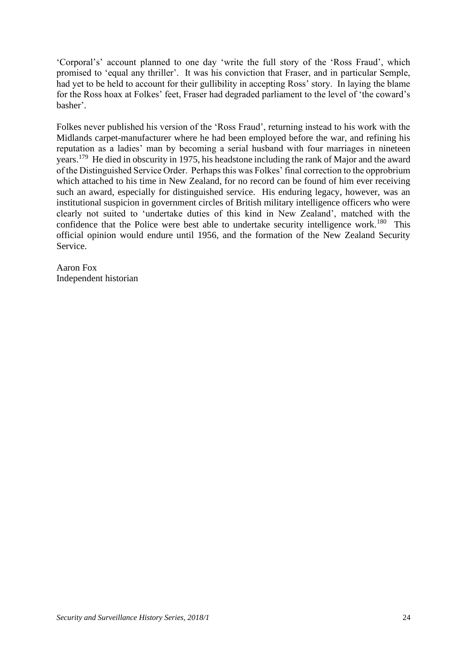'Corporal's' account planned to one day 'write the full story of the 'Ross Fraud', which promised to 'equal any thriller'. It was his conviction that Fraser, and in particular Semple, had yet to be held to account for their gullibility in accepting Ross' story. In laying the blame for the Ross hoax at Folkes' feet, Fraser had degraded parliament to the level of 'the coward's basher'.

Folkes never published his version of the 'Ross Fraud', returning instead to his work with the Midlands carpet-manufacturer where he had been employed before the war, and refining his reputation as a ladies' man by becoming a serial husband with four marriages in nineteen years.<sup>179</sup> He died in obscurity in 1975, his headstone including the rank of Major and the award of the Distinguished Service Order. Perhaps this was Folkes' final correction to the opprobrium which attached to his time in New Zealand, for no record can be found of him ever receiving such an award, especially for distinguished service. His enduring legacy, however, was an institutional suspicion in government circles of British military intelligence officers who were clearly not suited to 'undertake duties of this kind in New Zealand', matched with the confidence that the Police were best able to undertake security intelligence work.<sup>180</sup> This official opinion would endure until 1956, and the formation of the New Zealand Security Service.

Aaron Fox Independent historian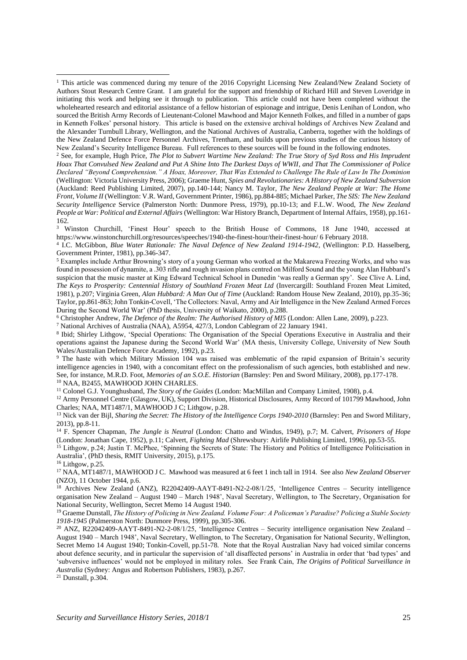<sup>2</sup> See, for example, Hugh Price, *The Plot to Subvert Wartime New Zealand: The True Story of Syd Ross and His Imprudent Hoax That Convulsed New Zealand and Put A Shine Into The Darkest Days of WWII, and That The Commissioner of Police Declared "Beyond Comprehension." A Hoax, Moreover, That Was Extended to Challenge The Rule of Law In The Dominion* (Wellington: Victoria University Press, 2006); Graeme Hunt, *Spies and Revolutionaries: A History of New Zealand Subversion* (Auckland: Reed Publishing Limited, 2007), pp.140-144; Nancy M. Taylor, *The New Zealand People at War: The Home Front, Volume II* (Wellington: V.R. Ward, Government Printer, 1986), pp.884-885; Michael Parker, *The SIS: The New Zealand Security Intelligence* Service (Palmerston North: Dunmore Press, 1979), pp.10-13; and F.L.W. Wood, *The New Zealand People at War: Political and External Affairs* (Wellington: War History Branch, Department of Internal Affairs, 1958), pp.161- 162.

<sup>3</sup> Winston Churchill, 'Finest Hour' speech to the British House of Commons, 18 June 1940, accessed at <https://www.winstonchurchill.org/resources/speeches/1940-the-finest-hour/their-finest-hour/> 6 February 2018.

<sup>6</sup> Christopher Andrew, *The Defence of the Realm: The Authorised History of MI5* (London: Allen Lane, 2009), p.223.

<sup>7</sup> National Archives of Australia (NAA), A5954, 427/3, London Cablegram of 22 January 1941.

8 Ibid; Shirley Lithgow, 'Special Operations: The Organisation of the Special Operations Executive in Australia and their operations against the Japanese during the Second World War' (MA thesis, University College, University of New South Wales/Australian Defence Force Academy, 1992), p.23.

<sup>9</sup> The haste with which Military Mission 104 was raised was emblematic of the rapid expansion of Britain's security intelligence agencies in 1940, with a concomitant effect on the professionalism of such agencies, both established and new. See, for instance, M.R.D. Foot, *Memories of an S.O.E. Historian* (Barnsley: Pen and Sword Military, 2008), pp.177-178. <sup>10</sup> NAA, B2455, MAWHOOD JOHN CHARLES.

<sup>11</sup> Colonel G.J. Younghusband, *The Story of the Guides* (London: MacMillan and Company Limited, 1908), p.4.

<sup>12</sup> Army Personnel Centre (Glasgow, UK), Support Division, Historical Disclosures, Army Record of 101799 Mawhood, John Charles; NAA, MT1487/1, MAWHOOD J C; Lithgow, p.28.

<sup>13</sup> Nick van der Bijl, Sharing the Secret: The History of the Intelligence Corps 1940-2010 (Barnsley: Pen and Sword Military, 2013), pp.8-11.

<sup>14</sup> F. Spencer Chapman, *The Jungle is Neutral* (London: Chatto and Windus, 1949), p.7; M. Calvert, *Prisoners of Hope* (London: Jonathan Cape, 1952), p.11; Calvert, *Fighting Mad* (Shrewsbury: Airlife Publishing Limited, 1996), pp.53-55.

<sup>15</sup> Lithgow, p.24; Justin T. McPhee, 'Spinning the Secrets of State: The History and Politics of Intelligence Politicisation in Australia', (PhD thesis, RMIT University, 2015), p.175.

 $16$  Lithgow, p.25.

<sup>17</sup> NAA, MT1487/1, MAWHOOD J C. Mawhood was measured at 6 feet 1 inch tall in 1914. See also *New Zealand Observer*  (NZO), 11 October 1944, p.6.

<sup>18</sup> Archives New Zealand (ANZ), R22042409-AAYT-8491-N2-2-08/1/25, 'Intelligence Centres – Security intelligence organisation New Zealand – August 1940 – March 1948', Naval Secretary, Wellington, to The Secretary, Organisation for National Security, Wellington, Secret Memo 14 August 1940.

<sup>19</sup> Graeme Dunstall, *The History of Policing in New Zealand. Volume Four: A Policeman's Paradise? Policing a Stable Society 1918-1945* (Palmerston North: Dunmore Press, 1999), pp.305-306.

<sup>20</sup> ANZ, R22042409-AAYT-8491-N2-2-08/1/25, 'Intelligence Centres – Security intelligence organisation New Zealand – August 1940 – March 1948', Naval Secretary, Wellington, to The Secretary, Organisation for National Security, Wellington, Secret Memo 14 August 1940; Tonkin-Covell, pp.51-78. Note that the Royal Australian Navy had voiced similar concerns about defence security, and in particular the supervision of 'all disaffected persons' in Australia in order that 'bad types' and 'subversive influences' would not be employed in military roles. See Frank Cain, *The Origins of Political Surveillance in Australia* (Sydney: Angus and Robertson Publishers, 1983), p.267.

<sup>21</sup> Dunstall, p.304.

<sup>&</sup>lt;sup>1</sup> This article was commenced during my tenure of the 2016 Copyright Licensing New Zealand/New Zealand Society of Authors Stout Research Centre Grant. I am grateful for the support and friendship of Richard Hill and Steven Loveridge in initiating this work and helping see it through to publication. This article could not have been completed without the wholehearted research and editorial assistance of a fellow historian of espionage and intrigue, Denis Lenihan of London, who sourced the British Army Records of Lieutenant-Colonel Mawhood and Major Kenneth Folkes, and filled in a number of gaps in Kenneth Folkes' personal history. This article is based on the extensive archival holdings of Archives New Zealand and the Alexander Turnbull Library, Wellington, and the National Archives of Australia, Canberra, together with the holdings of the New Zealand Defence Force Personnel Archives, Trentham, and builds upon previous studies of the curious history of New Zealand's Security Intelligence Bureau. Full references to these sources will be found in the following endnotes.

<sup>4</sup> I.C. McGibbon, *Blue Water Rationale: The Naval Defence of New Zealand 1914-1942*, (Wellington: P.D. Hasselberg, Government Printer, 1981), pp.346-347.

<sup>5</sup> Examples include Arthur Browning's story of a young German who worked at the Makarewa Freezing Works, and who was found in possession of dynamite, a .303 rifle and rough invasion plans centred on Milford Sound and the young Alan Hubbard's suspicion that the music master at King Edward Technical School in Dunedin 'was really a German spy'. See Clive A. Lind, *The Keys to Prosperity: Centennial History of Southland Frozen Meat Ltd* (Invercargill: Southland Frozen Meat Limited, 1981), p.207; Virginia Green, *Alan Hubbard: A Man Out of Time* (Auckland: Random House New Zealand, 2010), pp.35-36; Taylor, pp.861-863; John Tonkin-Covell, 'The Collectors: Naval, Army and Air Intelligence in the New Zealand Armed Forces During the Second World War' (PhD thesis, University of Waikato, 2000), p.288.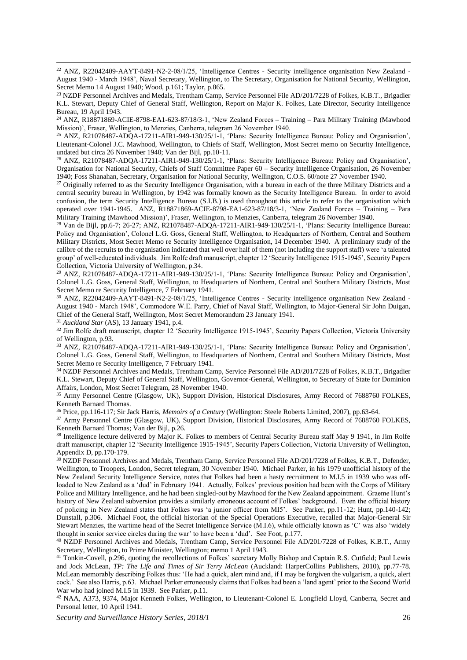<sup>22</sup> ANZ, R22042409-AAYT-8491-N2-2-08/1/25, 'Intelligence Centres - Security intelligence organisation New Zealand - August 1940 - March 1948', Naval Secretary, Wellington, to The Secretary, Organisation for National Security, Wellington, Secret Memo 14 August 1940; Wood, p.161; Taylor, p.865.

<sup>23</sup> NZDF Personnel Archives and Medals, Trentham Camp, Service Personnel File AD/201/7228 of Folkes, K.B.T., Brigadier K.L. Stewart, Deputy Chief of General Staff, Wellington, Report on Major K. Folkes, Late Director, Security Intelligence Bureau, 19 April 1943.

<sup>24</sup> ANZ, R18871869-ACIE-8798-EA1-623-87/18/3-1, 'New Zealand Forces – Training – Para Military Training (Mawhood Mission)', Fraser, Wellington, to Menzies, Canberra, telegram 26 November 1940.

<sup>25</sup> ANZ, R21078487-ADQA-17211-AIR1-949-130/25/1-1, 'Plans: Security Intelligence Bureau: Policy and Organisation', Lieutenant-Colonel J.C. Mawhood, Wellington, to Chiefs of Staff, Wellington, Most Secret memo on Security Intelligence, undated but circa 26 November 1940; Van der Bijl, pp.10-11.

<sup>26</sup> ANZ, R21078487-ADQA-17211-AIR1-949-130/25/1-1, 'Plans: Security Intelligence Bureau: Policy and Organisation', Organisation for National Security, Chiefs of Staff Committee Paper 60 – Security Intelligence Organisation, 26 November 1940; Foss Shanahan, Secretary, Organisation for National Security, Wellington, C.O.S. 60/note 27 November 1940.

<sup>27</sup> Originally referred to as the Security Intelligence Organisation, with a bureau in each of the three Military Districts and a central security bureau in Wellington, by 1942 was formally known as the Security Intelligence Bureau. In order to avoid confusion, the term Security Intelligence Bureau (S.I.B.) is used throughout this article to refer to the organisation which operated over 1941-1945. ANZ, R18871869-ACIE-8798-EA1-623-87/18/3-1, 'New Zealand Forces – Training – Para Military Training (Mawhood Mission)', Fraser, Wellington, to Menzies, Canberra, telegram 26 November 1940.

<sup>28</sup> Van de Bijl, pp.6-7; 26-27; ANZ, R21078487-ADQA-17211-AIR1-949-130/25/1-1, 'Plans: Security Intelligence Bureau: Policy and Organisation', Colonel L.G. Goss, General Staff, Wellington, to Headquarters of Northern, Central and Southern Military Districts, Most Secret Memo re Security Intelligence Organisation, 14 December 1940. A preliminary study of the calibre of the recruits to the organisation indicated that well over half of them (not including the support staff) were 'a talented group' of well-educated individuals. Jim Rolfe draft manuscript, chapter 12 'Security Intelligence 1915-1945', Security Papers Collection, Victoria University of Wellington, p.34.

<sup>29</sup> ANZ, R21078487-ADQA-17211-AIR1-949-130/25/1-1, 'Plans: Security Intelligence Bureau: Policy and Organisation', Colonel L.G. Goss, General Staff, Wellington, to Headquarters of Northern, Central and Southern Military Districts, Most Secret Memo re Security Intelligence, 7 February 1941.

<sup>30</sup> ANZ, R22042409-AAYT-8491-N2-2-08/1/25, 'Intelligence Centres - Security intelligence organisation New Zealand - August 1940 - March 1948', Commodore W.E. Parry, Chief of Naval Staff, Wellington, to Major-General Sir John Duigan, Chief of the General Staff, Wellington, Most Secret Memorandum 23 January 1941.

<sup>31</sup> *Auckland Star* (AS), 13 January 1941, p.4.

<sup>32</sup> Jim Rolfe draft manuscript, chapter 12 'Security Intelligence 1915-1945', Security Papers Collection, Victoria University of Wellington, p.93.

<sup>33</sup> ANZ, R21078487-ADQA-17211-AIR1-949-130/25/1-1, 'Plans: Security Intelligence Bureau: Policy and Organisation', Colonel L.G. Goss, General Staff, Wellington, to Headquarters of Northern, Central and Southern Military Districts, Most Secret Memo re Security Intelligence, 7 February 1941.

<sup>34</sup> NZDF Personnel Archives and Medals, Trentham Camp, Service Personnel File AD/201/7228 of Folkes, K.B.T., Brigadier K.L. Stewart, Deputy Chief of General Staff, Wellington, Governor-General, Wellington, to Secretary of State for Dominion Affairs, London, Most Secret Telegram, 28 November 1940.

<sup>35</sup> Army Personnel Centre (Glasgow, UK), Support Division, Historical Disclosures, Army Record of 7688760 FOLKES, Kenneth Barnard Thomas.

<sup>36</sup> Price, pp.116-117; Sir Jack Harris, *Memoirs of a Century* (Wellington: Steele Roberts Limited, 2007), pp.63-64.

<sup>37</sup> Army Personnel Centre (Glasgow, UK), Support Division, Historical Disclosures, Army Record of 7688760 FOLKES, Kenneth Barnard Thomas; Van der Bijl, p.26.

<sup>38</sup> Intelligence lecture delivered by Major K. Folkes to members of Central Security Bureau staff May 9 1941, in Jim Rolfe draft manuscript, chapter 12 'Security Intelligence 1915-1945', Security Papers Collection, Victoria University of Wellington, Appendix D, pp.170-179.

<sup>39</sup> NZDF Personnel Archives and Medals, Trentham Camp, Service Personnel File AD/201/7228 of Folkes, K.B.T., Defender, Wellington, to Troopers, London, Secret telegram, 30 November 1940. Michael Parker, in his 1979 unofficial history of the New Zealand Security Intelligence Service, notes that Folkes had been a hasty recruitment to M.I.5 in 1939 who was offloaded to New Zealand as a 'dud' in February 1941. Actually, Folkes' previous position had been with the Corps of Military Police and Military Intelligence, and he had been singled-out by Mawhood for the New Zealand appointment. Graeme Hunt's history of New Zealand subversion provides a similarly erroneous account of Folkes' background. Even the official history of policing in New Zealand states that Folkes was 'a junior officer from MI5'. See Parker, pp.11-12; Hunt, pp.140-142; Dunstall, p.306. Michael Foot, the official historian of the Special Operations Executive, recalled that Major-General Sir Stewart Menzies, the wartime head of the Secret Intelligence Service (M.I.6), while officially known as 'C' was also 'widely thought in senior service circles during the war' to have been a 'dud'. See Foot, p.177.

<sup>40</sup> NZDF Personnel Archives and Medals, Trentham Camp, Service Personnel File AD/201/7228 of Folkes, K.B.T., Army Secretary, Wellington, to Prime Minister, Wellington; memo 1 April 1943.

<sup>41</sup> Tonkin-Covell, p.296, quoting the recollections of Folkes' secretary Molly Bishop and Captain R.S. Cutfield; Paul Lewis and Jock McLean, *TP: The Life and Times of Sir Terry McLean* (Auckland: HarperCollins Publishers, 2010), pp.77-78. McLean memorably describing Folkes thus: 'He had a quick, alert mind and, if I may be forgiven the vulgarism, a quick, alert cock.' See also Harris, p.63. Michael Parker erroneously claims that Folkes had been a 'land agent' prior to the Second World War who had joined M.I.5 in 1939. See Parker, p.11.

<sup>42</sup> NAA, A373, 9374, Major Kenneth Folkes, Wellington, to Lieutenant-Colonel E. Longfield Lloyd, Canberra, Secret and Personal letter, 10 April 1941.

*Security and Surveillance History Series, 2018/1* 26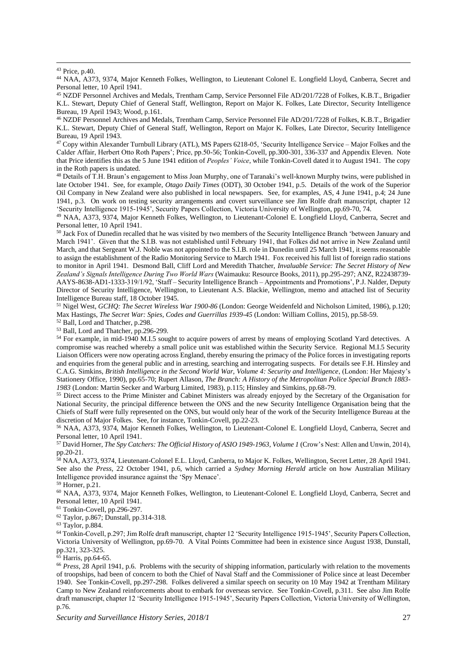<sup>44</sup> NAA, A373, 9374, Major Kenneth Folkes, Wellington, to Lieutenant Colonel E. Longfield Lloyd, Canberra, Secret and Personal letter, 10 April 1941.

<sup>45</sup> NZDF Personnel Archives and Medals, Trentham Camp, Service Personnel File AD/201/7228 of Folkes, K.B.T., Brigadier K.L. Stewart, Deputy Chief of General Staff, Wellington, Report on Major K. Folkes, Late Director, Security Intelligence Bureau, 19 April 1943; Wood, p.161.

<sup>46</sup> NZDF Personnel Archives and Medals, Trentham Camp, Service Personnel File AD/201/7228 of Folkes, K.B.T., Brigadier K.L. Stewart, Deputy Chief of General Staff, Wellington, Report on Major K. Folkes, Late Director, Security Intelligence Bureau, 19 April 1943.

<sup>47</sup> Copy within Alexander Turnbull Library (ATL), MS Papers 6218-05, 'Security Intelligence Service – Major Folkes and the Calder Affair, Herbert Otto Roth Papers'; Price, pp.50-56; Tonkin-Covell, pp.300-301, 336-337 and Appendix Eleven. Note that Price identifies this as the 5 June 1941 edition of *Peoples' Voice*, while Tonkin-Covell dated it to August 1941. The copy in the Roth papers is undated.

 $48$  Details of T.H. Braun's engagement to Miss Joan Murphy, one of Taranaki's well-known Murphy twins, were published in late October 1941. See, for example, *Otago Daily Times* (ODT), 30 October 1941, p.5. Details of the work of the Superior Oil Company in New Zealand were also published in local newspapers. See, for examples, AS, 4 June 1941, p.4; 24 June 1941, p.3. On work on testing security arrangements and covert surveillance see Jim Rolfe draft manuscript, chapter 12 'Security Intelligence 1915-1945', Security Papers Collection, Victoria University of Wellington, pp.69-70, 74.

<sup>49</sup> NAA, A373, 9374, Major Kenneth Folkes, Wellington, to Lieutenant-Colonel E. Longfield Lloyd, Canberra, Secret and Personal letter, 10 April 1941.

<sup>50</sup> Jack Fox of Dunedin recalled that he was visited by two members of the Security Intelligence Branch 'between January and March 1941'. Given that the S.I.B. was not established until February 1941, that Folkes did not arrive in New Zealand until March, and that Sergeant W.J. Noble was not appointed to the S.I.B. role in Dunedin until 25 March 1941, it seems reasonable to assign the establishment of the Radio Monitoring Service to March 1941. Fox received his full list of foreign radio stations to monitor in April 1941. Desmond Ball, Cliff Lord and Meredith Thatcher, *Invaluable Service: The Secret History of New Zealand's Signals Intelligence During Two World Wars* (Waimauku: Resource Books, 2011), pp.295-297; ANZ, R22438739- AAYS-8638-AD1-1333-319/1/92, 'Staff – Security Intelligence Branch – Appointments and Promotions', P.J. Nalder, Deputy Director of Security Intelligence, Wellington, to Lieutenant A.S. Blackie, Wellington, memo and attached list of Security Intelligence Bureau staff, 18 October 1945.

<sup>51</sup> Nigel West, *GCHQ: The Secret Wireless War 1900-86* (London: George Weidenfeld and Nicholson Limited, 1986), p.120; Max Hastings, *The Secret War: Spies, Codes and Guerrillas 1939-45* (London: William Collins, 2015), pp.58-59.

<sup>52</sup> Ball, Lord and Thatcher, p.298.

<sup>53</sup> Ball, Lord and Thatcher, pp.296-299.

<sup>54</sup> For example, in mid-1940 M.I.5 sought to acquire powers of arrest by means of employing Scotland Yard detectives. A compromise was reached whereby a small police unit was established within the Security Service. Regional M.I.5 Security Liaison Officers were now operating across England, thereby ensuring the primacy of the Police forces in investigating reports and enquiries from the general public and in arresting, searching and interrogating suspects. For details see F.H. Hinsley and C.A.G. Simkins, *British Intelligence in the Second World War, Volume 4: Security and Intelligence*, (London: Her Majesty's Stationery Office, 1990), pp.65-70; Rupert Allason, *The Branch: A History of the Metropolitan Police Special Branch 1883- 1983* (London: Martin Secker and Warburg Limited, 1983), p.115; Hinsley and Simkins, pp.68-79.

<sup>55</sup> Direct access to the Prime Minister and Cabinet Ministers was already enjoyed by the Secretary of the Organisation for National Security, the principal difference between the ONS and the new Security Intelligence Organisation being that the Chiefs of Staff were fully represented on the ONS, but would only hear of the work of the Security Intelligence Bureau at the discretion of Major Folkes. See, for instance, Tonkin-Covell, pp.22-23.

<sup>56</sup> NAA, A373, 9374, Major Kenneth Folkes, Wellington, to Lieutenant-Colonel E. Longfield Lloyd, Canberra, Secret and Personal letter, 10 April 1941.

<sup>57</sup> David Horner, *The Spy Catchers: The Official History of ASIO 1949-1963, Volume 1* (Crow's Nest: Allen and Unwin, 2014), pp.20-21.

<sup>58</sup> NAA, A373, 9374, Lieutenant-Colonel E.L. Lloyd, Canberra, to Major K. Folkes, Wellington, Secret Letter, 28 April 1941. See also the *Press*, 22 October 1941, p.6, which carried a *Sydney Morning Herald* article on how Australian Military Intelligence provided insurance against the 'Spy Menace'.

<sup>59</sup> Horner, p.21.

<sup>60</sup> NAA, A373, 9374, Major Kenneth Folkes, Wellington, to Lieutenant-Colonel E. Longfield Lloyd, Canberra, Secret and Personal letter, 10 April 1941.

<sup>61</sup> Tonkin-Covell, pp.296-297.

<sup>62</sup> Taylor, p.867; Dunstall, pp.314-318.

<sup>63</sup> Taylor, p.884.

<sup>64</sup> Tonkin-Covell, p.297; Jim Rolfe draft manuscript, chapter 12 'Security Intelligence 1915-1945', Security Papers Collection, Victoria University of Wellington, pp.69-70. A Vital Points Committee had been in existence since August 1938, Dunstall, pp.321, 323-325.

<sup>65</sup> Harris, pp.64-65.

<sup>66</sup> *Press*, 28 April 1941, p.6. Problems with the security of shipping information, particularly with relation to the movements of troopships, had been of concern to both the Chief of Naval Staff and the Commissioner of Police since at least December 1940. See Tonkin-Covell, pp.297-298. Folkes delivered a similar speech on security on 10 May 1942 at Trentham Military Camp to New Zealand reinforcements about to embark for overseas service. See Tonkin-Covell, p.311. See also Jim Rolfe draft manuscript, chapter 12 'Security Intelligence 1915-1945', Security Papers Collection, Victoria University of Wellington, p.76.

<sup>43</sup> Price, p.40.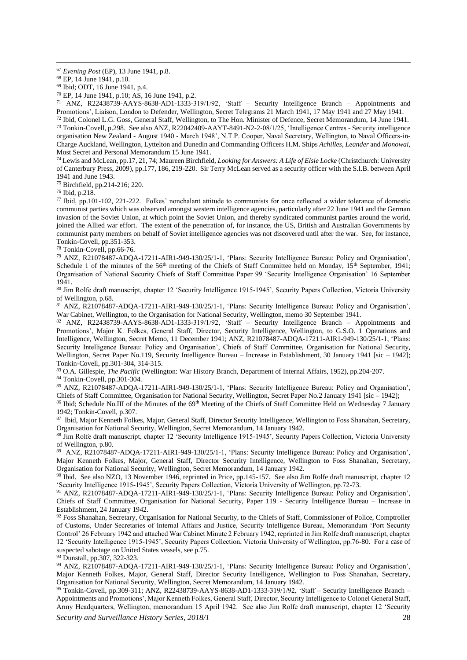<sup>70</sup> EP, 14 June 1941, p.10; AS, 16 June 1941, p.2.

<sup>71</sup> ANZ, R22438739-AAYS-8638-AD1-1333-319/1/92, 'Staff – Security Intelligence Branch – Appointments and Promotions', Liaison, London to Defender, Wellington, Secret Telegrams 21 March 1941, 17 May 1941 and 27 May 1941.

<sup>72</sup> Ibid, Colonel L.G. Goss, General Staff, Wellington, to The Hon. Minister of Defence, Secret Memorandum, 14 June 1941. <sup>73</sup> Tonkin-Covell, p.298. See also ANZ, R22042409-AAYT-8491-N2-2-08/1/25, 'Intelligence Centres - Security intelligence organisation New Zealand - August 1940 - March 1948', N.T.P. Cooper, Naval Secretary, Wellington, to Naval Officers-in-Charge Auckland, Wellington, Lyttelton and Dunedin and Commanding Officers H.M. Ships *Achilles*, *Leander* and *Monowai*, Most Secret and Personal Memorandum 15 June 1941.

<sup>74</sup> Lewis and McLean, pp.17, 21, 74; Maureen Birchfield, *Looking for Answers: A Life of Elsie Locke* (Christchurch: University of Canterbury Press, 2009), pp.177, 186, 219-220. Sir Terry McLean served as a security officer with the S.I.B. between April 1941 and June 1943.

<sup>75</sup> Birchfield, pp.214-216; 220.

<sup>76</sup> Ibid, p.218.

<sup>77</sup> Ibid, pp.101-102, 221-222. Folkes' nonchalant attitude to communists for once reflected a wider tolerance of domestic communist parties which was observed amongst western intelligence agencies, particularly after 22 June 1941 and the German invasion of the Soviet Union, at which point the Soviet Union, and thereby syndicated communist parties around the world, joined the Allied war effort. The extent of the penetration of, for instance, the US, British and Australian Governments by communist party members on behalf of Soviet intelligence agencies was not discovered until after the war. See, for instance, Tonkin-Covell, pp.351-353.

<sup>78</sup> Tonkin-Covell, pp.66-76.

<sup>79</sup> ANZ, R21078487-ADQA-17211-AIR1-949-130/25/1-1, 'Plans: Security Intelligence Bureau: Policy and Organisation', Schedule 1 of the minutes of the 56<sup>th</sup> meeting of the Chiefs of Staff Committee held on Monday,  $15<sup>th</sup>$  September, 1941; Organisation of National Security Chiefs of Staff Committee Paper 99 'Security Intelligence Organisation' 16 September 1941.

80 Jim Rolfe draft manuscript, chapter 12 'Security Intelligence 1915-1945', Security Papers Collection, Victoria University of Wellington, p.68.

<sup>81</sup> ANZ, R21078487-ADQA-17211-AIR1-949-130/25/1-1, 'Plans: Security Intelligence Bureau: Policy and Organisation', War Cabinet, Wellington, to the Organisation for National Security, Wellington, memo 30 September 1941.

<sup>82</sup> ANZ, R22438739-AAYS-8638-AD1-1333-319/1/92, 'Staff – Security Intelligence Branch – Appointments and Promotions', Major K. Folkes, General Staff, Director, Security Intelligence, Wellington, to G.S.O. 1 Operations and Intelligence, Wellington, Secret Memo, 11 December 1941; ANZ, R21078487-ADQA-17211-AIR1-949-130/25/1-1, 'Plans: Security Intelligence Bureau: Policy and Organisation', Chiefs of Staff Committee, Organisation for National Security, Wellington, Secret Paper No.119, Security Intelligence Bureau – Increase in Establishment, 30 January 1941 [sic – 1942]; Tonkin-Covell, pp.301-304, 314-315.

<sup>83</sup> O.A. Gillespie, *The Pacific* (Wellington: War History Branch, Department of Internal Affairs, 1952), pp.204-207.

<sup>84</sup> Tonkin-Covell, pp.301-304.

<sup>85</sup> ANZ, R21078487-ADQA-17211-AIR1-949-130/25/1-1, 'Plans: Security Intelligence Bureau: Policy and Organisation', Chiefs of Staff Committee, Organisation for National Security, Wellington, Secret Paper No.2 January 1941 [sic – 1942];

86 Ibid; Schedule No.III of the Minutes of the 69<sup>th</sup> Meeting of the Chiefs of Staff Committee Held on Wednesday 7 January 1942; Tonkin-Covell, p.307.

87 Ibid, Major Kenneth Folkes, Major, General Staff, Director Security Intelligence, Wellington to Foss Shanahan, Secretary, Organisation for National Security, Wellington, Secret Memorandum, 14 January 1942.

88 Jim Rolfe draft manuscript, chapter 12 'Security Intelligence 1915-1945', Security Papers Collection, Victoria University of Wellington, p.80.

89 ANZ, R21078487-ADQA-17211-AIR1-949-130/25/1-1, 'Plans: Security Intelligence Bureau: Policy and Organisation', Major Kenneth Folkes, Major, General Staff, Director Security Intelligence, Wellington to Foss Shanahan, Secretary, Organisation for National Security, Wellington, Secret Memorandum, 14 January 1942.

<sup>90</sup> Ibid. See also NZO, 13 November 1946, reprinted in Price, pp.145-157. See also Jim Rolfe draft manuscript, chapter 12 'Security Intelligence 1915-1945', Security Papers Collection, Victoria University of Wellington, pp.72-73.

<sup>91</sup> ANZ, R21078487-ADQA-17211-AIR1-949-130/25/1-1, 'Plans: Security Intelligence Bureau: Policy and Organisation', Chiefs of Staff Committee, Organisation for National Security, Paper 119 - Security Intelligence Bureau – Increase in Establishment, 24 January 1942.

<sup>92</sup> Foss Shanahan, Secretary, Organisation for National Security, to the Chiefs of Staff, Commissioner of Police, Comptroller of Customs, Under Secretaries of Internal Affairs and Justice, Security Intelligence Bureau, Memorandum 'Port Security Control' 26 February 1942 and attached War Cabinet Minute 2 February 1942, reprinted in Jim Rolfe draft manuscript, chapter 12 'Security Intelligence 1915-1945', Security Papers Collection, Victoria University of Wellington, pp.76-80. For a case of suspected sabotage on United States vessels, see p.75.

<sup>93</sup> Dunstall, pp.307, 322-323.

<sup>94</sup> ANZ, R21078487-ADQA-17211-AIR1-949-130/25/1-1, 'Plans: Security Intelligence Bureau: Policy and Organisation', Major Kenneth Folkes, Major, General Staff, Director Security Intelligence, Wellington to Foss Shanahan, Secretary, Organisation for National Security, Wellington, Secret Memorandum, 14 January 1942.

<sup>95</sup> Tonkin-Covell, pp.309-311; ANZ, R22438739-AAYS-8638-AD1-1333-319/1/92, 'Staff – Security Intelligence Branch – Appointments and Promotions', Major Kenneth Folkes, General Staff, Director, Security Intelligence to Colonel General Staff, Army Headquarters, Wellington, memorandum 15 April 1942. See also Jim Rolfe draft manuscript, chapter 12 'Security

<sup>67</sup> *Evening Post* (EP), 13 June 1941, p.8.

<sup>68</sup> EP, 14 June 1941, p.10.

<sup>69</sup> Ibid; ODT, 16 June 1941, p.4.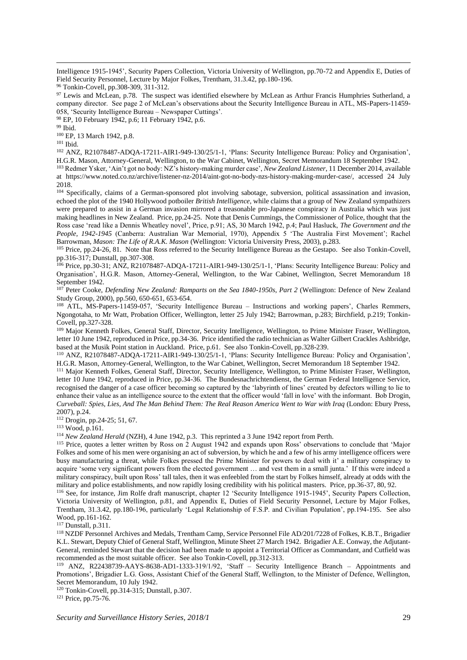Intelligence 1915-1945', Security Papers Collection, Victoria University of Wellington, pp.70-72 and Appendix E, Duties of Field Security Personnel, Lecture by Major Folkes, Trentham, 31.3.42, pp.180-196.

<sup>97</sup> Lewis and McLean, p.78. The suspect was identified elsewhere by McLean as Arthur Francis Humphries Sutherland, a company director. See page 2 of McLean's observations about the Security Intelligence Bureau in ATL, MS-Papers-11459- 058, 'Security Intelligence Bureau – Newspaper Cuttings'.

<sup>98</sup> EP, 10 February 1942, p.6; 11 February 1942, p.6.

<sup>99</sup> Ibid.

<sup>100</sup> EP, 13 March 1942, p.8.

<sup>101</sup> Ibid.

<sup>102</sup> ANZ, R21078487-ADQA-17211-AIR1-949-130/25/1-1, 'Plans: Security Intelligence Bureau: Policy and Organisation', H.G.R. Mason, Attorney-General, Wellington, to the War Cabinet, Wellington, Secret Memorandum 18 September 1942.

<sup>103</sup> Redmer Ysker, 'Ain't got no body: NZ's history-making murder case', *New Zealand Listener*, 11 December 2014, available at [https://www.noted.co.nz/archive/listener-nz-2014/aint-got-no-body-nzs-history-making-murder-case/,](https://www.noted.co.nz/archive/listener-nz-2014/aint-got-no-body-nzs-history-making-murder-case/) accessed 24 July 2018.

<sup>104</sup> Specifically, claims of a German-sponsored plot involving sabotage, subversion, political assassination and invasion, echoed the plot of the 1940 Hollywood potboiler *British Intelligence*, while claims that a group of New Zealand sympathizers were prepared to assist in a German invasion mirrored a treasonable pro-Japanese conspiracy in Australia which was just making headlines in New Zealand. Price, pp.24-25. Note that Denis Cummings, the Commissioner of Police, thought that the Ross case 'read like a Dennis Wheatley novel', Price, p.91; AS, 30 March 1942, p.4; Paul Hasluck, *The Government and the People, 1942-1945* (Canberra: Australian War Memorial, 1970), Appendix 5 'The Australia First Movement'; Rachel Barrowman, *Mason: The Life of R.A.K. Mason* (Wellington: Victoria University Press, 2003), p.283.

<sup>105</sup> Price, pp.24-26, 81. Note that Ross referred to the Security Intelligence Bureau as the Gestapo. See also Tonkin-Covell, pp.316-317; Dunstall, pp.307-308.

<sup>106</sup> Price, pp.30-31; ANZ, R21078487-ADQA-17211-AIR1-949-130/25/1-1, 'Plans: Security Intelligence Bureau: Policy and Organisation', H.G.R. Mason, Attorney-General, Wellington, to the War Cabinet, Wellington, Secret Memorandum 18 September 1942.

<sup>107</sup> Peter Cooke, *Defending New Zealand: Ramparts on the Sea 1840-1950s, Part 2* (Wellington: Defence of New Zealand Study Group, 2000), pp.560, 650-651, 653-654.

<sup>108</sup> ATL, MS-Papers-11459-057, 'Security Intelligence Bureau – Instructions and working papers', Charles Remmers, Ngongotaha, to Mr Watt, Probation Officer, Wellington, letter 25 July 1942; Barrowman, p.283; Birchfield, p.219; Tonkin-Covell, pp.327-328.

<sup>109</sup> Major Kenneth Folkes, General Staff, Director, Security Intelligence, Wellington, to Prime Minister Fraser, Wellington, letter 10 June 1942, reproduced in Price, pp.34-36. Price identified the radio technician as Walter Gilbert Crackles Ashbridge, based at the Musik Point station in Auckland. Price, p.61. See also Tonkin-Covell, pp.328-239.

<sup>110</sup> ANZ, R21078487-ADQA-17211-AIR1-949-130/25/1-1, 'Plans: Security Intelligence Bureau: Policy and Organisation', H.G.R. Mason, Attorney-General, Wellington, to the War Cabinet, Wellington, Secret Memorandum 18 September 1942.

<sup>111</sup> Major Kenneth Folkes, General Staff, Director, Security Intelligence, Wellington, to Prime Minister Fraser, Wellington, letter 10 June 1942, reproduced in Price, pp.34-36. The Bundesnachrichtendienst, the German Federal Intelligence Service, recognised the danger of a case officer becoming so captured by the 'labyrinth of lines' created by defectors willing to lie to enhance their value as an intelligence source to the extent that the officer would 'fall in love' with the informant. Bob Drogin, *Curveball: Spies, Lies, And The Man Behind Them: The Real Reason America Went to War with Iraq* (London: Ebury Press, 2007), p.24.

<sup>112</sup> Drogin, pp.24-25; 51, 67.

<sup>113</sup> Wood, p.161.

<sup>114</sup> *New Zealand Herald* (NZH), 4 June 1942, p.3. This reprinted a 3 June 1942 report from Perth.

<sup>115</sup> Price, quotes a letter written by Ross on 2 August 1942 and expands upon Ross' observations to conclude that 'Major Folkes and some of his men were organising an act of subversion, by which he and a few of his army intelligence officers were busy manufacturing a threat, while Folkes pressed the Prime Minister for powers to deal with it' a military conspiracy to acquire 'some very significant powers from the elected government … and vest them in a small junta.' If this were indeed a military conspiracy, built upon Ross' tall tales, then it was enfeebled from the start by Folkes himself, already at odds with the military and police establishments, and now rapidly losing credibility with his political masters. Price, pp.36-37, 80, 92.

<sup>116</sup> See, for instance, Jim Rolfe draft manuscript, chapter 12 'Security Intelligence 1915-1945', Security Papers Collection, Victoria University of Wellington, p.81, and Appendix E, Duties of Field Security Personnel, Lecture by Major Folkes, Trentham, 31.3.42, pp.180-196, particularly 'Legal Relationship of F.S.P. and Civilian Population', pp.194-195. See also Wood, pp.161-162.

<sup>117</sup> Dunstall, p.311.

<sup>118</sup> NZDF Personnel Archives and Medals, Trentham Camp, Service Personnel File AD/201/7228 of Folkes, K.B.T., Brigadier K.L. Stewart, Deputy Chief of General Staff, Wellington, Minute Sheet 27 March 1942. Brigadier A.E. Conway, the Adjutant-General, reminded Stewart that the decision had been made to appoint a Territorial Officer as Commandant, and Cutfield was recommended as the most suitable officer. See also Tonkin-Covell, pp.312-313.

<sup>119</sup> ANZ, R22438739-AAYS-8638-AD1-1333-319/1/92, 'Staff – Security Intelligence Branch – Appointments and Promotions', Brigadier L.G. Goss, Assistant Chief of the General Staff, Wellington, to the Minister of Defence, Wellington, Secret Memorandum, 10 July 1942.

<sup>120</sup> Tonkin-Covell, pp.314-315; Dunstall, p.307.

<sup>121</sup> Price, pp.75-76.

<sup>96</sup> Tonkin-Covell, pp.308-309, 311-312.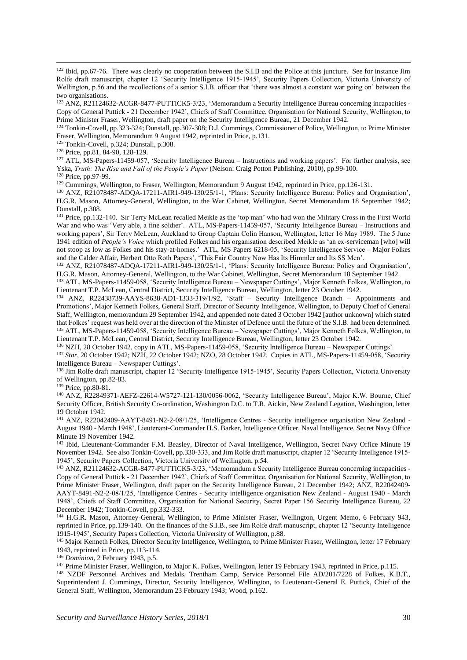<sup>123</sup> ANZ, R21124632-ACGR-8477-PUTTICK5-3/23, 'Memorandum a Security Intelligence Bureau concerning incapacities - Copy of General Puttick - 21 December 1942', Chiefs of Staff Committee, Organisation for National Security, Wellington, to Prime Minister Fraser, Wellington, draft paper on the Security Intelligence Bureau, 21 December 1942.

<sup>124</sup> Tonkin-Covell, pp.323-324; Dunstall, pp.307-308; D.J. Cummings, Commissioner of Police, Wellington, to Prime Minister Fraser, Wellington, Memorandum 9 August 1942, reprinted in Price, p.131.

<sup>125</sup> Tonkin-Covell, p.324; Dunstall, p.308.

<sup>126</sup> Price, pp.81, 84-90, 128-129.

<sup>127</sup> ATL, MS-Papers-11459-057, 'Security Intelligence Bureau – Instructions and working papers'. For further analysis, see Yska, *Truth: The Rise and Fall of the People's Paper* (Nelson: Craig Potton Publishing, 2010), pp.99-100.

<sup>128</sup> Price, pp.97-99.

<sup>129</sup> Cummings, Wellington, to Fraser, Wellington, Memorandum 9 August 1942, reprinted in Price, pp.126-131.

<sup>130</sup> ANZ, R21078487-ADQA-17211-AIR1-949-130/25/1-1, 'Plans: Security Intelligence Bureau: Policy and Organisation', H.G.R. Mason, Attorney-General, Wellington, to the War Cabinet, Wellington, Secret Memorandum 18 September 1942; Dunstall, p.308.

<sup>131</sup> Price, pp.132-140. Sir Terry McLean recalled Meikle as the 'top man' who had won the Military Cross in the First World War and who was 'Very able, a fine soldier'. ATL, MS-Papers-11459-057, 'Security Intelligence Bureau – Instructions and working papers', Sir Terry McLean, Auckland to Group Captain Colin Hanson, Wellington, letter 16 May 1989. The 5 June 1941 edition of *People's Voice* which profiled Folkes and his organisation described Meikle as 'an ex-serviceman [who] will not stoop as low as Folkes and his stay-at-homes.' ATL, MS Papers 6218-05, 'Security Intelligence Service – Major Folkes and the Calder Affair, Herbert Otto Roth Papers', 'This Fair Country Now Has Its Himmler and Its SS Men'.

<sup>132</sup> ANZ, R21078487-ADQA-17211-AIR1-949-130/25/1-1, 'Plans: Security Intelligence Bureau: Policy and Organisation', H.G.R. Mason, Attorney-General, Wellington, to the War Cabinet, Wellington, Secret Memorandum 18 September 1942.

<sup>133</sup> ATL, MS-Papers-11459-058, 'Security Intelligence Bureau – Newspaper Cuttings', Major Kenneth Folkes, Wellington, to Lieutenant T.P. McLean, Central District, Security Intelligence Bureau, Wellington, letter 23 October 1942.

<sup>134</sup> ANZ, R22438739-AAYS-8638-AD1-1333-319/1/92, 'Staff – Security Intelligence Branch – Appointments and Promotions', Major Kenneth Folkes, General Staff, Director of Security Intelligence, Wellington, to Deputy Chief of General Staff, Wellington, memorandum 29 September 1942, and appended note dated 3 October 1942 [author unknown] which stated that Folkes' request was held over at the direction of the Minister of Defence until the future of the S.I.B. had been determined. <sup>135</sup> ATL, MS-Papers-11459-058, 'Security Intelligence Bureau – Newspaper Cuttings', Major Kenneth Folkes, Wellington, to Lieutenant T.P. McLean, Central District, Security Intelligence Bureau, Wellington, letter 23 October 1942.

<sup>136</sup> NZH, 28 October 1942, copy in ATL, MS-Papers-11459-058, 'Security Intelligence Bureau – Newspaper Cuttings'.

<sup>137</sup> *Star*, 20 October 1942; NZH, 22 October 1942; NZO, 28 October 1942. Copies in ATL, MS-Papers-11459-058, 'Security Intelligence Bureau – Newspaper Cuttings'.

<sup>138</sup> Jim Rolfe draft manuscript, chapter 12 'Security Intelligence 1915-1945', Security Papers Collection, Victoria University of Wellington, pp.82-83.

<sup>139</sup> Price, pp.80-81.

<sup>140</sup> ANZ, R22849371-AEFZ-22614-W5727-121-130/0056-0062, 'Security Intelligence Bureau', Major K.W. Bourne, Chief Security Officer, British Security Co-ordination, Washington D.C. to T.R. Aickin, New Zealand Legation, Washington, letter 19 October 1942.

<sup>141</sup> ANZ, R22042409-AAYT-8491-N2-2-08/1/25, 'Intelligence Centres - Security intelligence organisation New Zealand - August 1940 - March 1948', Lieutenant-Commander H.S. Barker, Intelligence Officer, Naval Intelligence, Secret Navy Office Minute 19 November 1942.

<sup>142</sup> Ibid, Lieutenant-Commander F.M. Beasley, Director of Naval Intelligence, Wellington, Secret Navy Office Minute 19 November 1942. See also Tonkin-Covell, pp.330-333, and Jim Rolfe draft manuscript, chapter 12 'Security Intelligence 1915- 1945', Security Papers Collection, Victoria University of Wellington, p.54.

<sup>143</sup> ANZ, R21124632-ACGR-8477-PUTTICK5-3/23, 'Memorandum a Security Intelligence Bureau concerning incapacities - Copy of General Puttick - 21 December 1942', Chiefs of Staff Committee, Organisation for National Security, Wellington, to Prime Minister Fraser, Wellington, draft paper on the Security Intelligence Bureau, 21 December 1942; ANZ, R22042409- AAYT-8491-N2-2-08/1/25, 'Intelligence Centres - Security intelligence organisation New Zealand - August 1940 - March 1948', Chiefs of Staff Committee, Organisation for National Security, Secret Paper 156 Security Intelligence Bureau, 22 December 1942; Tonkin-Covell, pp.332-333.

<sup>144</sup> H.G.R. Mason, Attorney-General, Wellington, to Prime Minister Fraser, Wellington, Urgent Memo, 6 February 943, reprinted in Price, pp.139-140. On the finances of the S.I.B., see Jim Rolfe draft manuscript, chapter 12 'Security Intelligence 1915-1945', Security Papers Collection, Victoria University of Wellington, p.88.

<sup>145</sup> Major Kenneth Folkes, Director Security Intelligence, Wellington, to Prime Minister Fraser, Wellington, letter 17 February 1943, reprinted in Price, pp.113-114.

<sup>146</sup> *Dominion*, 2 February 1943, p.5.

<sup>147</sup> Prime Minister Fraser, Wellington, to Major K. Folkes, Wellington, letter 19 February 1943, reprinted in Price, p.115.

<sup>148</sup> NZDF Personnel Archives and Medals, Trentham Camp, Service Personnel File AD/201/7228 of Folkes, K.B.T., Superintendent J. Cummings, Director, Security Intelligence, Wellington, to Lieutenant-General E. Puttick, Chief of the General Staff, Wellington, Memorandum 23 February 1943; Wood, p.162.

 $122$  Ibid, pp.67-76. There was clearly no cooperation between the S.I.B and the Police at this juncture. See for instance Jim Rolfe draft manuscript, chapter 12 'Security Intelligence 1915-1945', Security Papers Collection, Victoria University of Wellington, p.56 and the recollections of a senior S.I.B. officer that 'there was almost a constant war going on' between the two organisations.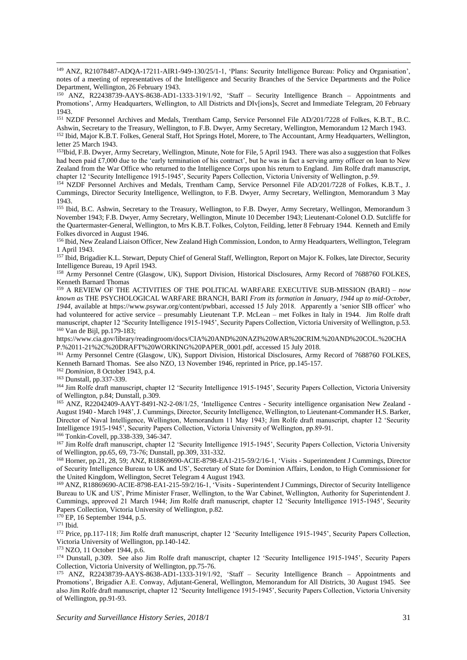<sup>149</sup> ANZ, R21078487-ADQA-17211-AIR1-949-130/25/1-1, 'Plans: Security Intelligence Bureau: Policy and Organisation', notes of a meeting of representatives of the Intelligence and Security Branches of the Service Departments and the Police Department, Wellington, 26 February 1943.

<sup>150</sup> ANZ, R22438739-AAYS-8638-AD1-1333-319/1/92, 'Staff – Security Intelligence Branch – Appointments and Promotions', Army Headquarters, Wellington, to All Districts and DIv[ions]s, Secret and Immediate Telegram, 20 February 1943.

<sup>151</sup> NZDF Personnel Archives and Medals, Trentham Camp, Service Personnel File AD/201/7228 of Folkes, K.B.T., B.C. Ashwin, Secretary to the Treasury, Wellington, to F.B. Dwyer, Army Secretary, Wellington, Memorandum 12 March 1943. <sup>152</sup> Ibid, Major K.B.T. Folkes, General Staff, Hot Springs Hotel, Morere, to The Accountant, Army Headquarters, Wellington, letter 25 March 1943.

<sup>153</sup>Ibid, F.B. Dwyer, Army Secretary, Wellington, Minute, Note for File, 5 April 1943. There was also a suggestion that Folkes had been paid £7,000 due to the 'early termination of his contract', but he was in fact a serving army officer on loan to New Zealand from the War Office who returned to the Intelligence Corps upon his return to England. Jim Rolfe draft manuscript, chapter 12 'Security Intelligence 1915-1945', Security Papers Collection, Victoria University of Wellington, p.59.

<sup>154</sup> NZDF Personnel Archives and Medals, Trentham Camp, Service Personnel File AD/201/7228 of Folkes, K.B.T., J. Cummings, Director Security Intelligence, Wellington, to F.B. Dwyer, Army Secretary, Wellington, Memorandum 3 May 1943.

<sup>155</sup> Ibid, B.C. Ashwin, Secretary to the Treasury, Wellington, to F.B. Dwyer, Army Secretary, Wellingon, Memorandum 3 November 1943; F.B. Dwyer, Army Secretary, Wellington, Minute 10 December 1943; Lieutenant-Colonel O.D. Sutcliffe for the Quartermaster-General, Wellington, to Mrs K.B.T. Folkes, Colyton, Feilding, letter 8 February 1944. Kenneth and Emily Folkes divorced in August 1946.

156 Ibid, New Zealand Liaison Officer, New Zealand High Commission, London, to Army Headquarters, Wellington, Telegram 1 April 1943.

<sup>157</sup> Ibid, Brigadier K.L. Stewart, Deputy Chief of General Staff, Wellington, Report on Major K. Folkes, late Director, Security Intelligence Bureau, 19 April 1943.

<sup>158</sup> Army Personnel Centre (Glasgow, UK), Support Division, Historical Disclosures, Army Record of 7688760 FOLKES, Kenneth Barnard Thomas

<sup>159</sup> A REVIEW OF THE ACTIVITIES OF THE POLITICAL WARFARE EXECUTIVE SUB-MISSION (BARI) *– now known as* THE PSYCHOLOGICAL WARFARE BRANCH, BARI *From its formation in January, 1944 up to mid-October, 1944*, available at [https://www.psywar.org/content/pwbbari,](https://www.psywar.org/content/pwbbari) accessed 15 July 2018. Apparently a 'senior SIB officer' who had volunteered for active service – presumably Lieutenant T.P. McLean – met Folkes in Italy in 1944. Jim Rolfe draft manuscript, chapter 12 'Security Intelligence 1915-1945', Security Papers Collection, Victoria University of Wellington, p.53. <sup>160</sup> Van de Bijl, pp.179-183;

[https://www.cia.gov/library/readingroom/docs/CIA%20AND%20NAZI%20WAR%20CRIM.%20AND%20COL.%20CHA](https://www.cia.gov/library/readingroom/docs/CIA%20AND%20NAZI%20WAR%20CRIM.%20AND%20COL.%20CHAP.%2011-21%2C%20DRAFT%20WORKING%20PAPER_0001.pdf) [P.%2011-21%2C%20DRAFT%20WORKING%20PAPER\\_0001.pdf,](https://www.cia.gov/library/readingroom/docs/CIA%20AND%20NAZI%20WAR%20CRIM.%20AND%20COL.%20CHAP.%2011-21%2C%20DRAFT%20WORKING%20PAPER_0001.pdf) accessed 15 July 2018.

<sup>161</sup> Army Personnel Centre (Glasgow, UK), Support Division, Historical Disclosures, Army Record of 7688760 FOLKES, Kenneth Barnard Thomas. See also NZO, 13 November 1946, reprinted in Price, pp.145-157.

<sup>162</sup> *Dominion*, 8 October 1943, p.4.

<sup>163</sup> Dunstall, pp.337-339.

<sup>164</sup> Jim Rolfe draft manuscript, chapter 12 'Security Intelligence 1915-1945', Security Papers Collection, Victoria University of Wellington, p.84; Dunstall, p.309.

<sup>165</sup> ANZ, R22042409-AAYT-8491-N2-2-08/1/25, 'Intelligence Centres - Security intelligence organisation New Zealand - August 1940 - March 1948', J. Cummings, Director, Security Intelligence, Wellington, to Lieutenant-Commander H.S. Barker, Director of Naval Intelligence, Wellington, Memorandum 11 May 1943; Jim Rolfe draft manuscript, chapter 12 'Security Intelligence 1915-1945', Security Papers Collection, Victoria University of Wellington, pp.89-91. <sup>166</sup> Tonkin-Covell, pp.338-339, 346-347.

<sup>167</sup> Jim Rolfe draft manuscript, chapter 12 'Security Intelligence 1915-1945', Security Papers Collection, Victoria University of Wellington, pp.65, 69, 73-76; Dunstall, pp.309, 331-332.

<sup>168</sup> Horner, pp.21, 28, 59; ANZ, R18869690-ACIE-8798-EA1-215-59/2/16-1, 'Visits - Superintendent J Cummings, Director of Security Intelligence Bureau to UK and US', Secretary of State for Dominion Affairs, London, to High Commissioner for the United Kingdom, Wellington, Secret Telegram 4 August 1943.

<sup>169</sup> ANZ, R18869690-ACIE-8798-EA1-215-59/2/16-1, 'Visits - Superintendent J Cummings, Director of Security Intelligence Bureau to UK and US', Prime Minister Fraser, Wellington, to the War Cabinet, Wellington, Authority for Superintendent J. Cummings, approved 21 March 1944; Jim Rolfe draft manuscript, chapter 12 'Security Intelligence 1915-1945', Security Papers Collection, Victoria University of Wellington, p.82.

 $170$  EP, 16 September 1944, p.5.

<sup>171</sup> Ibid.

<sup>172</sup> Price, pp.117-118; Jim Rolfe draft manuscript, chapter 12 'Security Intelligence 1915-1945', Security Papers Collection, Victoria University of Wellington, pp.140-142.

<sup>173</sup> NZO, 11 October 1944, p.6.

<sup>174</sup> Dunstall, p.309. See also Jim Rolfe draft manuscript, chapter 12 'Security Intelligence 1915-1945', Security Papers Collection, Victoria University of Wellington, pp.75-76.

<sup>175</sup> ANZ, R22438739-AAYS-8638-AD1-1333-319/1/92, 'Staff – Security Intelligence Branch – Appointments and Promotions', Brigadier A.E. Conway, Adjutant-General, Wellington, Memorandum for All Districts, 30 August 1945. See also Jim Rolfe draft manuscript, chapter 12 'Security Intelligence 1915-1945', Security Papers Collection, Victoria University of Wellington, pp.91-93.